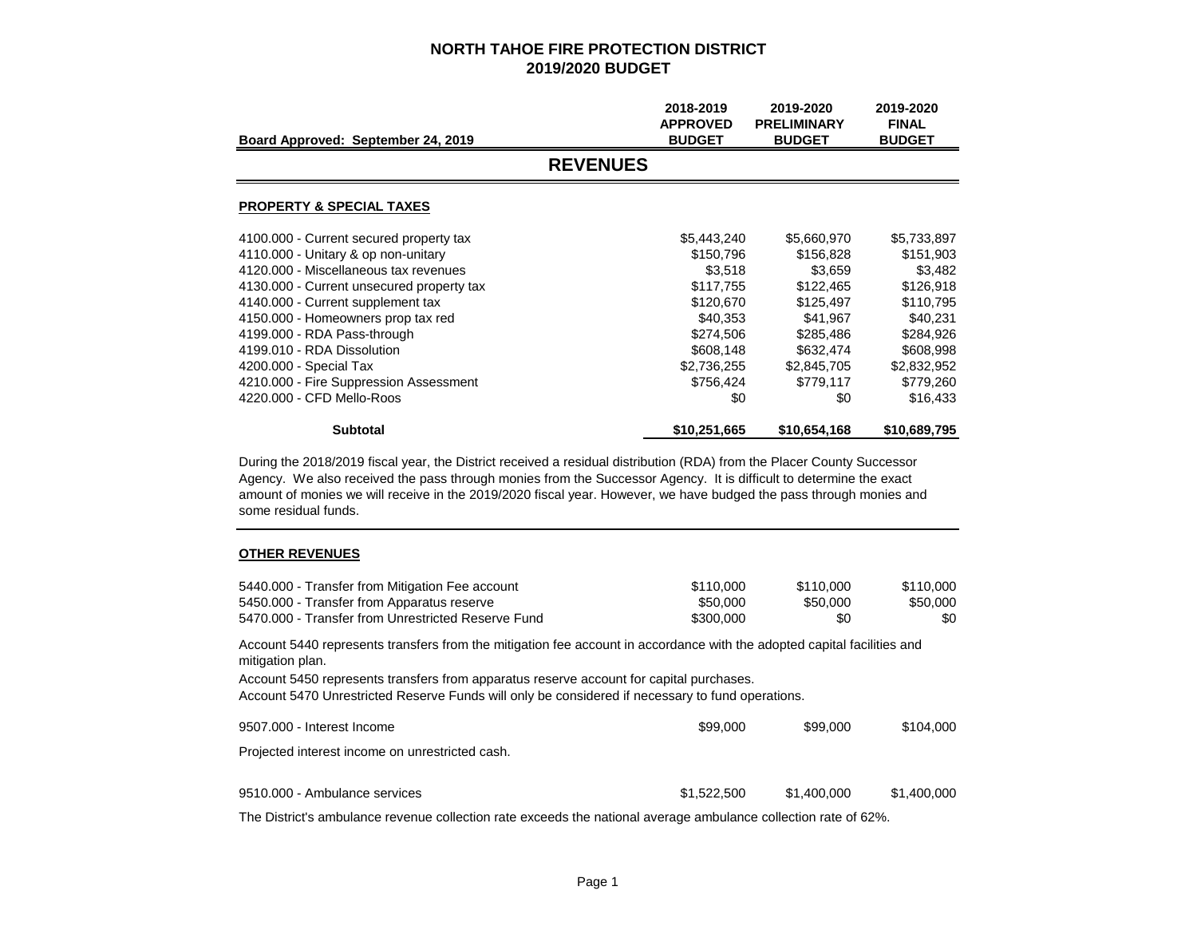|                                                                                                                                                                                                                                              | 2018-2019<br><b>APPROVED</b> | 2019-2020<br><b>PRELIMINARY</b> | 2019-2020<br><b>FINAL</b> |  |  |  |
|----------------------------------------------------------------------------------------------------------------------------------------------------------------------------------------------------------------------------------------------|------------------------------|---------------------------------|---------------------------|--|--|--|
| Board Approved: September 24, 2019                                                                                                                                                                                                           | <b>BUDGET</b>                | <b>BUDGET</b>                   | <b>BUDGET</b>             |  |  |  |
| <b>REVENUES</b>                                                                                                                                                                                                                              |                              |                                 |                           |  |  |  |
| <b>PROPERTY &amp; SPECIAL TAXES</b>                                                                                                                                                                                                          |                              |                                 |                           |  |  |  |
| 4100.000 - Current secured property tax                                                                                                                                                                                                      | \$5,443,240                  | \$5,660,970                     | \$5,733,897               |  |  |  |
| 4110.000 - Unitary & op non-unitary                                                                                                                                                                                                          | \$150,796                    | \$156,828                       | \$151,903                 |  |  |  |
| 4120,000 - Miscellaneous tax revenues                                                                                                                                                                                                        | \$3,518                      | \$3,659                         | \$3,482                   |  |  |  |
| 4130.000 - Current unsecured property tax                                                                                                                                                                                                    | \$117,755                    | \$122,465                       | \$126,918                 |  |  |  |
| 4140.000 - Current supplement tax                                                                                                                                                                                                            | \$120,670                    | \$125,497                       | \$110,795                 |  |  |  |
| 4150.000 - Homeowners prop tax red                                                                                                                                                                                                           | \$40,353                     | \$41,967                        | \$40,231                  |  |  |  |
| 4199.000 - RDA Pass-through                                                                                                                                                                                                                  | \$274,506                    | \$285,486                       | \$284,926                 |  |  |  |
| 4199.010 - RDA Dissolution                                                                                                                                                                                                                   | \$608,148                    | \$632,474                       | \$608,998                 |  |  |  |
| 4200.000 - Special Tax                                                                                                                                                                                                                       | \$2,736,255                  | \$2,845,705                     | \$2,832,952               |  |  |  |
| 4210.000 - Fire Suppression Assessment                                                                                                                                                                                                       | \$756,424                    | \$779,117                       | \$779,260                 |  |  |  |
| 4220,000 - CFD Mello-Roos                                                                                                                                                                                                                    | \$0                          | \$0                             | \$16,433                  |  |  |  |
| <b>Subtotal</b>                                                                                                                                                                                                                              | \$10,251,665                 | \$10,654,168                    | \$10,689,795              |  |  |  |
| During the 2018/2019 fiscal year, the District received a residual distribution (RDA) from the Placer County Successor<br>Agency. We also received the pass through monies from the Successor Agency. It is difficult to determine the exact |                              |                                 |                           |  |  |  |

Agency. We also received the pass through monies from the Successor Agency. It is difficult to determine the exact amount of monies we will receive in the 2019/2020 fiscal year. However, we have budged the pass through monies and some residual funds.

#### **OTHER REVENUES**

| 5440.000 - Transfer from Mitigation Fee account    | \$110,000 | \$110.000 | \$110,000 |
|----------------------------------------------------|-----------|-----------|-----------|
| 5450.000 - Transfer from Apparatus reserve         | \$50,000  | \$50,000  | \$50.000  |
| 5470.000 - Transfer from Unrestricted Reserve Fund | \$300,000 | \$0       | \$0       |
|                                                    |           |           |           |

Account 5440 represents transfers from the mitigation fee account in accordance with the adopted capital facilities and mitigation plan.

Account 5450 represents transfers from apparatus reserve account for capital purchases.

Account 5470 Unrestricted Reserve Funds will only be considered if necessary to fund operations.

| 9507.000 - Interest Income                      | \$99,000    | \$99,000    | \$104.000   |
|-------------------------------------------------|-------------|-------------|-------------|
| Projected interest income on unrestricted cash. |             |             |             |
| 9510.000 - Ambulance services                   | \$1,522,500 | \$1,400,000 | \$1.400.000 |

The District's ambulance revenue collection rate exceeds the national average ambulance collection rate of 62%.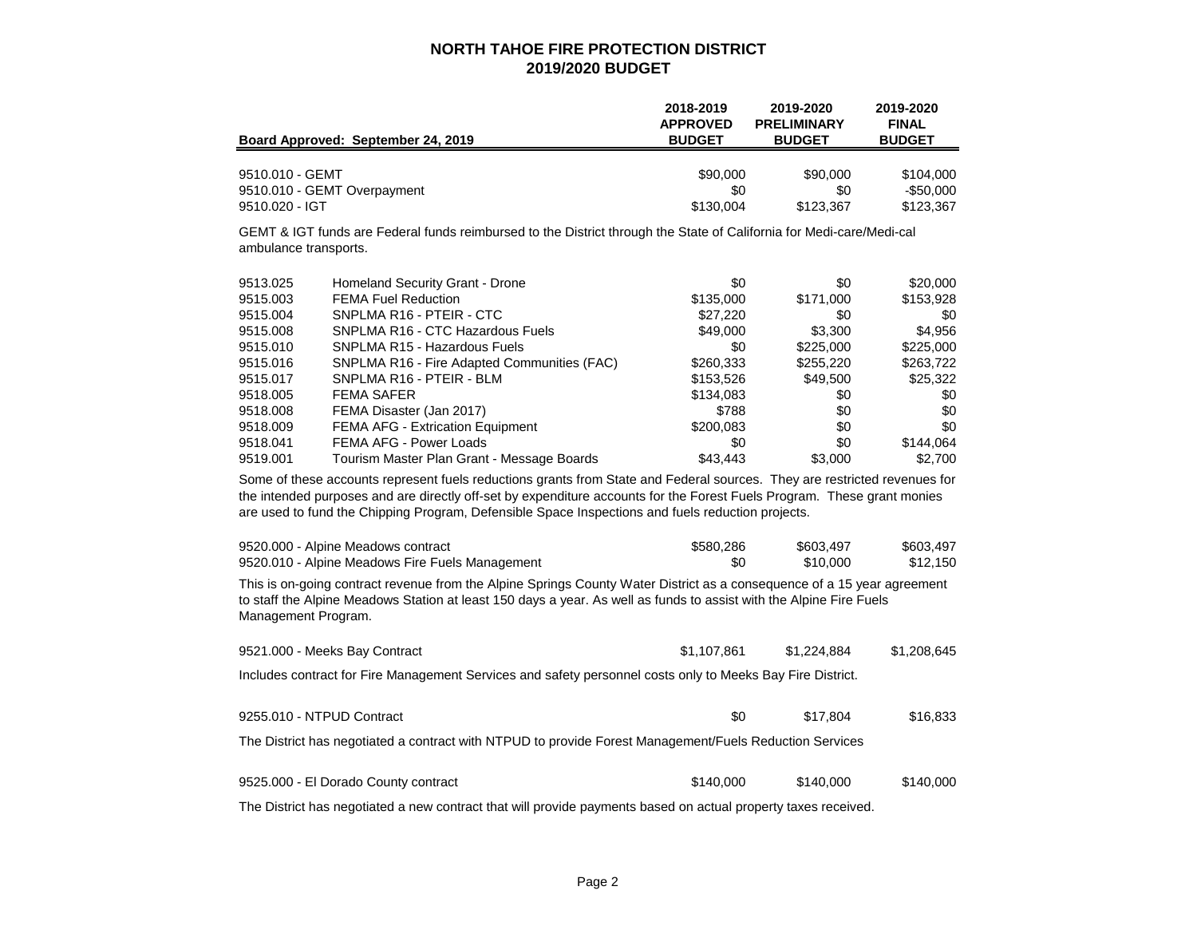| Board Approved: September 24, 2019 | 2018-2019       | 2019-2020          | 2019-2020     |
|------------------------------------|-----------------|--------------------|---------------|
|                                    | <b>APPROVED</b> | <b>PRELIMINARY</b> | <b>FINAL</b>  |
|                                    | <b>BUDGET</b>   | <b>BUDGET</b>      | <b>BUDGET</b> |
| 9510.010 - GEMT                    | \$90,000        | \$90,000           | \$104.000     |
| 9510.010 - GEMT Overpayment        | \$0             | \$0                | $-$ \$50,000  |
| $9510.020 - IGT$                   | \$130,004       | \$123.367          | \$123,367     |

GEMT & IGT funds are Federal funds reimbursed to the District through the State of California for Medi-care/Medi-cal ambulance transports.

| 9513.025 | Homeland Security Grant - Drone             | \$0       | \$0       | \$20,000  |
|----------|---------------------------------------------|-----------|-----------|-----------|
| 9515,003 | <b>FEMA Fuel Reduction</b>                  | \$135,000 | \$171,000 | \$153,928 |
| 9515.004 | SNPLMA R16 - PTEIR - CTC                    | \$27,220  | \$0       | \$0       |
| 9515,008 | SNPLMA R16 - CTC Hazardous Fuels            | \$49,000  | \$3,300   | \$4,956   |
| 9515.010 | SNPLMA R15 - Hazardous Fuels                | \$0       | \$225,000 | \$225,000 |
| 9515.016 | SNPLMA R16 - Fire Adapted Communities (FAC) | \$260,333 | \$255,220 | \$263,722 |
| 9515.017 | SNPLMA R16 - PTEIR - BLM                    | \$153,526 | \$49,500  | \$25,322  |
| 9518,005 | <b>FEMA SAFER</b>                           | \$134,083 | \$0       | \$0       |
| 9518,008 | FEMA Disaster (Jan 2017)                    | \$788     | \$0       | \$0       |
| 9518,009 | <b>FEMA AFG - Extrication Equipment</b>     | \$200,083 | \$0       | \$0       |
| 9518.041 | FEMA AFG - Power Loads                      | \$0       | \$0       | \$144,064 |
| 9519.001 | Tourism Master Plan Grant - Message Boards  | \$43,443  | \$3,000   | \$2.700   |

Some of these accounts represent fuels reductions grants from State and Federal sources. They are restricted revenues for the intended purposes and are directly off-set by expenditure accounts for the Forest Fuels Program. These grant monies are used to fund the Chipping Program, Defensible Space Inspections and fuels reduction projects.

| 9520.000 - Alpine Meadows contract                                                                                                                                                                                                                                    | \$580,286   | \$603.497   | \$603,497   |
|-----------------------------------------------------------------------------------------------------------------------------------------------------------------------------------------------------------------------------------------------------------------------|-------------|-------------|-------------|
| 9520.010 - Alpine Meadows Fire Fuels Management                                                                                                                                                                                                                       | \$0         | \$10,000    | \$12,150    |
| This is on-going contract revenue from the Alpine Springs County Water District as a consequence of a 15 year agreement<br>to staff the Alpine Meadows Station at least 150 days a year. As well as funds to assist with the Alpine Fire Fuels<br>Management Program. |             |             |             |
| 9521.000 - Meeks Bay Contract                                                                                                                                                                                                                                         | \$1,107.861 | \$1.224.884 | \$1,208,645 |
| Includes contract for Fire Management Services and safety personnel costs only to Meeks Bay Fire District.                                                                                                                                                            |             |             |             |
| 9255.010 - NTPUD Contract                                                                                                                                                                                                                                             | \$0         | \$17.804    | \$16,833    |

The District has negotiated a contract with NTPUD to provide Forest Management/Fuels Reduction Services

| 9525.000 - El Dorado County contract | \$140,000 | \$140,000 | \$140,000 |
|--------------------------------------|-----------|-----------|-----------|
|                                      |           |           |           |

The District has negotiated a new contract that will provide payments based on actual property taxes received.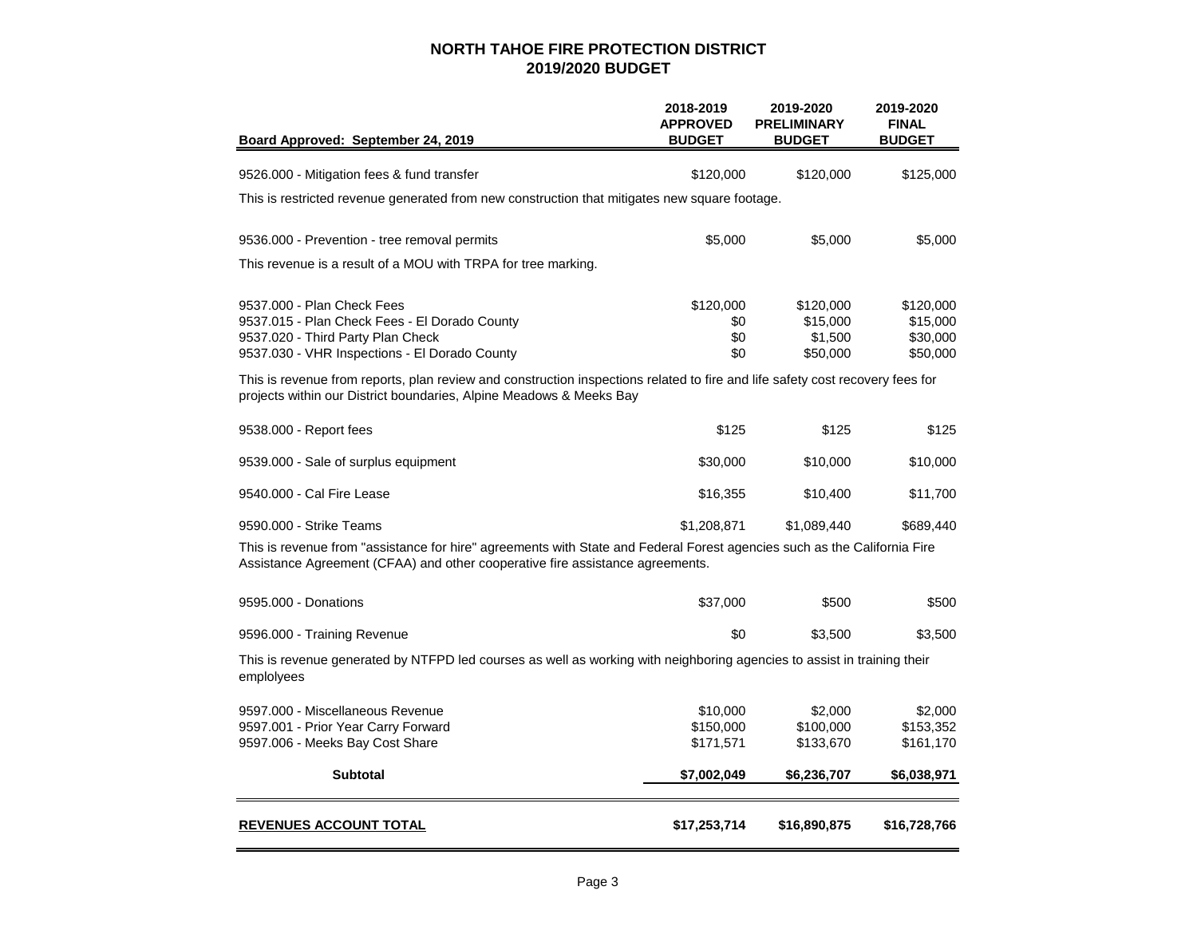| Board Approved: September 24, 2019                                                                                                                                                                                                                                                                 | 2018-2019<br><b>APPROVED</b><br><b>BUDGET</b> | 2019-2020<br><b>PRELIMINARY</b><br><b>BUDGET</b> | 2019-2020<br><b>FINAL</b><br><b>BUDGET</b>    |
|----------------------------------------------------------------------------------------------------------------------------------------------------------------------------------------------------------------------------------------------------------------------------------------------------|-----------------------------------------------|--------------------------------------------------|-----------------------------------------------|
| 9526.000 - Mitigation fees & fund transfer                                                                                                                                                                                                                                                         | \$120,000                                     | \$120,000                                        | \$125,000                                     |
| This is restricted revenue generated from new construction that mitigates new square footage.                                                                                                                                                                                                      |                                               |                                                  |                                               |
| 9536.000 - Prevention - tree removal permits                                                                                                                                                                                                                                                       | \$5,000                                       | \$5,000                                          | \$5,000                                       |
| This revenue is a result of a MOU with TRPA for tree marking.                                                                                                                                                                                                                                      |                                               |                                                  |                                               |
| 9537,000 - Plan Check Fees<br>9537.015 - Plan Check Fees - El Dorado County<br>9537.020 - Third Party Plan Check<br>9537.030 - VHR Inspections - El Dorado County<br>This is revenue from reports, plan review and construction inspections related to fire and life safety cost recovery fees for | \$120,000<br>\$0<br>\$0<br>\$0                | \$120,000<br>\$15,000<br>\$1,500<br>\$50,000     | \$120,000<br>\$15,000<br>\$30,000<br>\$50,000 |
| projects within our District boundaries, Alpine Meadows & Meeks Bay                                                                                                                                                                                                                                |                                               |                                                  |                                               |
| 9538.000 - Report fees                                                                                                                                                                                                                                                                             | \$125                                         | \$125                                            | \$125                                         |
| 9539.000 - Sale of surplus equipment                                                                                                                                                                                                                                                               | \$30,000                                      | \$10,000                                         | \$10,000                                      |
| 9540.000 - Cal Fire Lease                                                                                                                                                                                                                                                                          | \$16,355                                      | \$10,400                                         | \$11,700                                      |
| 9590.000 - Strike Teams                                                                                                                                                                                                                                                                            | \$1,208,871                                   | \$1,089,440                                      | \$689,440                                     |
| This is revenue from "assistance for hire" agreements with State and Federal Forest agencies such as the California Fire<br>Assistance Agreement (CFAA) and other cooperative fire assistance agreements.                                                                                          |                                               |                                                  |                                               |
| 9595.000 - Donations                                                                                                                                                                                                                                                                               | \$37,000                                      | \$500                                            | \$500                                         |
| 9596.000 - Training Revenue                                                                                                                                                                                                                                                                        | \$0                                           | \$3,500                                          | \$3,500                                       |
| This is revenue generated by NTFPD led courses as well as working with neighboring agencies to assist in training their<br>emplolyees                                                                                                                                                              |                                               |                                                  |                                               |
| 9597.000 - Miscellaneous Revenue<br>9597.001 - Prior Year Carry Forward<br>9597.006 - Meeks Bay Cost Share                                                                                                                                                                                         | \$10,000<br>\$150,000<br>\$171,571            | \$2,000<br>\$100,000<br>\$133,670                | \$2,000<br>\$153,352<br>\$161,170             |
| <b>Subtotal</b>                                                                                                                                                                                                                                                                                    | \$7,002,049                                   | \$6,236,707                                      | \$6,038,971                                   |
| <b>REVENUES ACCOUNT TOTAL</b>                                                                                                                                                                                                                                                                      | \$17,253,714                                  | \$16,890,875                                     | \$16,728,766                                  |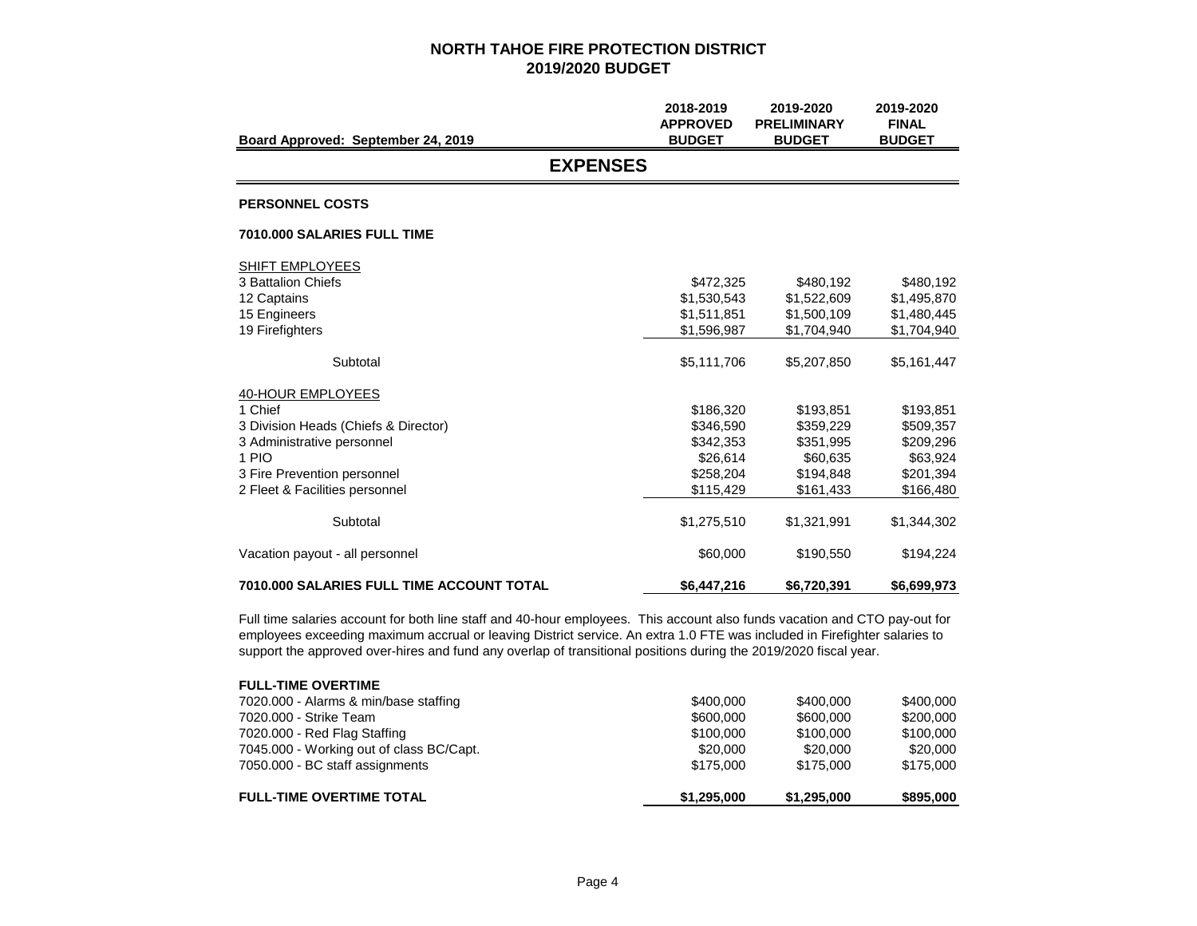| Board Approved: September 24, 2019                                                                                                                                           | 2018-2019<br><b>APPROVED</b><br><b>BUDGET</b>                             | 2019-2020<br><b>PRELIMINARY</b><br><b>BUDGET</b>                          | 2019-2020<br><b>FINAL</b><br><b>BUDGET</b>                                |
|------------------------------------------------------------------------------------------------------------------------------------------------------------------------------|---------------------------------------------------------------------------|---------------------------------------------------------------------------|---------------------------------------------------------------------------|
| <b>EXPENSES</b>                                                                                                                                                              |                                                                           |                                                                           |                                                                           |
| <b>PERSONNEL COSTS</b>                                                                                                                                                       |                                                                           |                                                                           |                                                                           |
| 7010.000 SALARIES FULL TIME                                                                                                                                                  |                                                                           |                                                                           |                                                                           |
| SHIFT EMPLOYEES<br>3 Battalion Chiefs<br>12 Captains<br>15 Engineers<br>19 Firefighters                                                                                      | \$472,325<br>\$1,530,543<br>\$1,511,851<br>\$1,596,987                    | \$480,192<br>\$1,522,609<br>\$1,500,109<br>\$1,704,940                    | \$480,192<br>\$1,495,870<br>\$1,480,445<br>\$1,704,940                    |
| Subtotal                                                                                                                                                                     | \$5,111,706                                                               | \$5,207,850                                                               | \$5,161,447                                                               |
| 40-HOUR EMPLOYEES<br>1 Chief<br>3 Division Heads (Chiefs & Director)<br>3 Administrative personnel<br>1 PIO<br>3 Fire Prevention personnel<br>2 Fleet & Facilities personnel | \$186,320<br>\$346,590<br>\$342,353<br>\$26.614<br>\$258.204<br>\$115,429 | \$193,851<br>\$359,229<br>\$351,995<br>\$60,635<br>\$194,848<br>\$161,433 | \$193,851<br>\$509,357<br>\$209,296<br>\$63,924<br>\$201,394<br>\$166,480 |
| Subtotal                                                                                                                                                                     | \$1,275,510                                                               | \$1,321,991                                                               | \$1,344,302                                                               |
| Vacation payout - all personnel                                                                                                                                              | \$60,000                                                                  | \$190,550                                                                 | \$194,224                                                                 |
| <b>7010.000 SALARIES FULL TIME ACCOUNT TOTAL</b>                                                                                                                             | \$6,447,216                                                               | \$6,720,391                                                               | \$6,699,973                                                               |

Full time salaries account for both line staff and 40-hour employees. This account also funds vacation and CTO pay-out for employees exceeding maximum accrual or leaving District service. An extra 1.0 FTE was included in Firefighter salaries to support the approved over-hires and fund any overlap of transitional positions during the 2019/2020 fiscal year.

| <b>FULL-TIME OVERTIME TOTAL</b>          | \$1,295,000 | \$1,295,000 | \$895,000 |
|------------------------------------------|-------------|-------------|-----------|
| 7050.000 - BC staff assignments          | \$175,000   | \$175,000   | \$175,000 |
| 7045.000 - Working out of class BC/Capt. | \$20,000    | \$20,000    | \$20,000  |
| 7020.000 - Red Flag Staffing             | \$100,000   | \$100,000   | \$100,000 |
| 7020,000 - Strike Team                   | \$600,000   | \$600,000   | \$200,000 |
| 7020.000 - Alarms & min/base staffing    | \$400,000   | \$400,000   | \$400,000 |
| <b>FULL-TIME OVERTIME</b>                |             |             |           |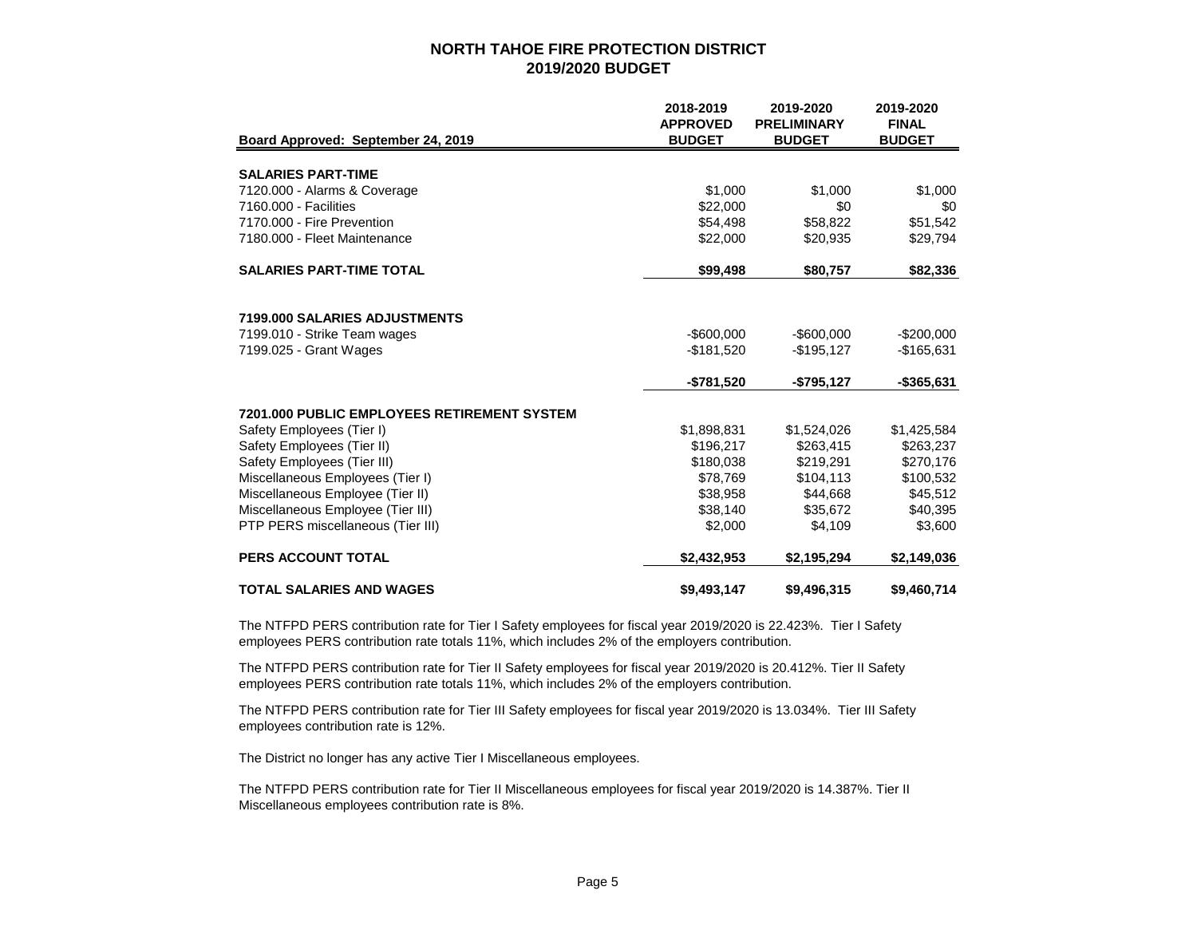|                                                    | 2018-2019                        | 2019-2020                           | 2019-2020                     |
|----------------------------------------------------|----------------------------------|-------------------------------------|-------------------------------|
| Board Approved: September 24, 2019                 | <b>APPROVED</b><br><b>BUDGET</b> | <b>PRELIMINARY</b><br><b>BUDGET</b> | <b>FINAL</b><br><b>BUDGET</b> |
|                                                    |                                  |                                     |                               |
| <b>SALARIES PART-TIME</b>                          |                                  |                                     |                               |
| 7120.000 - Alarms & Coverage                       | \$1,000                          | \$1,000                             | \$1,000                       |
| 7160.000 - Facilities                              | \$22,000                         | \$0                                 | \$0                           |
| 7170.000 - Fire Prevention                         | \$54,498                         | \$58,822                            | \$51,542                      |
| 7180.000 - Fleet Maintenance                       | \$22,000                         | \$20.935                            | \$29,794                      |
| <b>SALARIES PART-TIME TOTAL</b>                    | \$99,498                         | \$80,757                            | \$82,336                      |
|                                                    |                                  |                                     |                               |
| 7199,000 SALARIES ADJUSTMENTS                      |                                  |                                     |                               |
| 7199.010 - Strike Team wages                       | $-$ \$600,000                    | $-$ \$600,000                       | $-$200,000$                   |
| 7199.025 - Grant Wages                             | $-$181,520$                      | $-$195,127$                         | $-$165,631$                   |
|                                                    | -\$781,520                       | -\$795,127                          | -\$365,631                    |
| <b>7201.000 PUBLIC EMPLOYEES RETIREMENT SYSTEM</b> |                                  |                                     |                               |
| Safety Employees (Tier I)                          | \$1,898,831                      | \$1,524,026                         | \$1,425,584                   |
| Safety Employees (Tier II)                         | \$196.217                        | \$263,415                           | \$263,237                     |
| Safety Employees (Tier III)                        | \$180,038                        | \$219,291                           | \$270,176                     |
| Miscellaneous Employees (Tier I)                   | \$78,769                         | \$104,113                           | \$100,532                     |
| Miscellaneous Employee (Tier II)                   | \$38,958                         | \$44,668                            | \$45,512                      |
| Miscellaneous Employee (Tier III)                  | \$38,140                         | \$35,672                            | \$40,395                      |
| PTP PERS miscellaneous (Tier III)                  | \$2,000                          | \$4,109                             | \$3,600                       |
| <b>PERS ACCOUNT TOTAL</b>                          | \$2,432,953                      | \$2,195,294                         | \$2,149,036                   |
| <b>TOTAL SALARIES AND WAGES</b>                    | \$9,493,147                      | \$9,496,315                         | \$9,460,714                   |

The NTFPD PERS contribution rate for Tier I Safety employees for fiscal year 2019/2020 is 22.423%. Tier I Safety employees PERS contribution rate totals 11%, which includes 2% of the employers contribution.

The NTFPD PERS contribution rate for Tier II Safety employees for fiscal year 2019/2020 is 20.412%. Tier II Safety employees PERS contribution rate totals 11%, which includes 2% of the employers contribution.

The NTFPD PERS contribution rate for Tier III Safety employees for fiscal year 2019/2020 is 13.034%. Tier III Safety employees contribution rate is 12%.

The District no longer has any active Tier I Miscellaneous employees.

The NTFPD PERS contribution rate for Tier II Miscellaneous employees for fiscal year 2019/2020 is 14.387%. Tier II Miscellaneous employees contribution rate is 8%.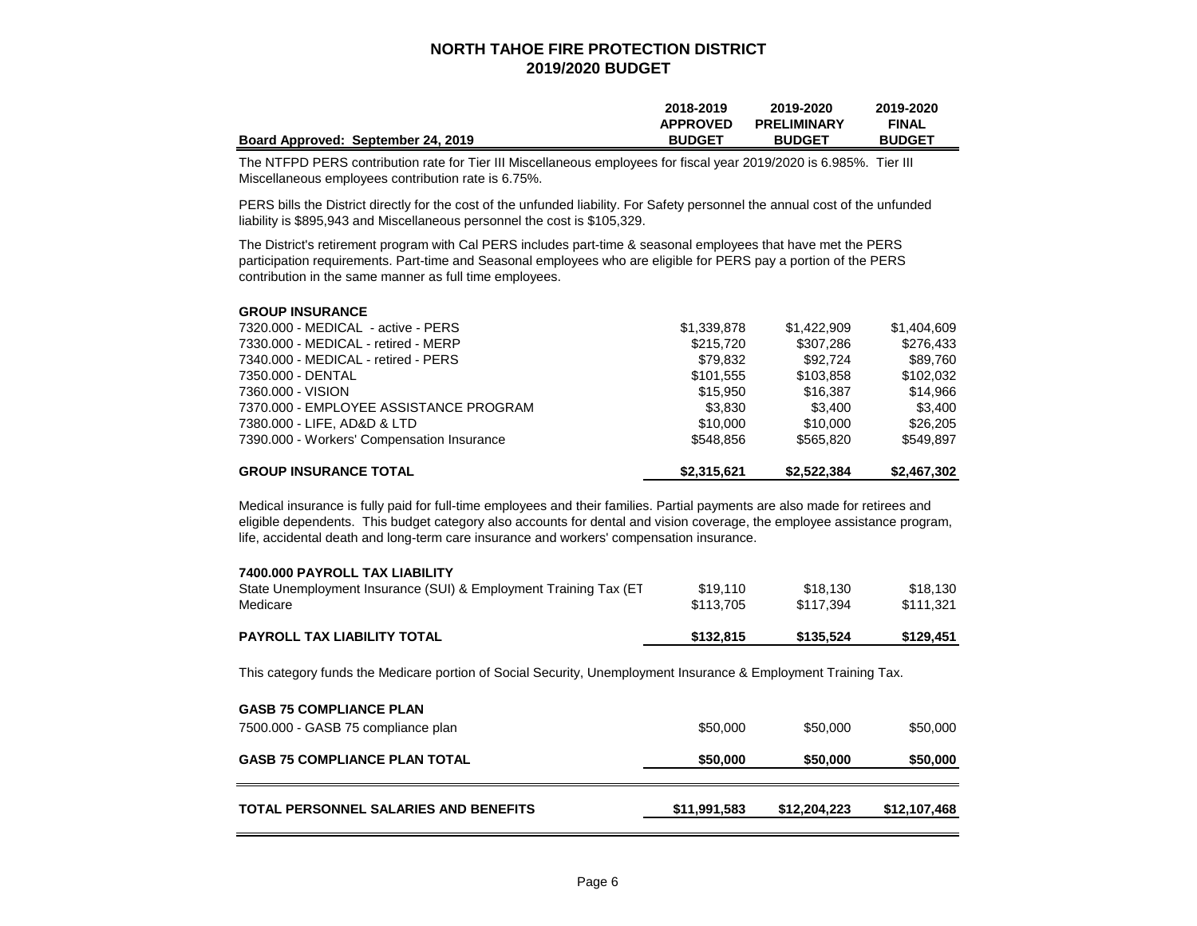|                                    | 2018-2019       | 2019-2020          | 2019-2020     |
|------------------------------------|-----------------|--------------------|---------------|
|                                    | <b>APPROVED</b> | <b>PRELIMINARY</b> | <b>FINAL</b>  |
| Board Approved: September 24, 2019 | <b>BUDGET</b>   | <b>BUDGET</b>      | <b>BUDGET</b> |

The NTFPD PERS contribution rate for Tier III Miscellaneous employees for fiscal year 2019/2020 is 6.985%. Tier III Miscellaneous employees contribution rate is 6.75%.

PERS bills the District directly for the cost of the unfunded liability. For Safety personnel the annual cost of the unfunded liability is \$895,943 and Miscellaneous personnel the cost is \$105,329.

The District's retirement program with Cal PERS includes part-time & seasonal employees that have met the PERS participation requirements. Part-time and Seasonal employees who are eligible for PERS pay a portion of the PERS contribution in the same manner as full time employees.

| <b>GROUP INSURANCE</b>                     |             |             |             |
|--------------------------------------------|-------------|-------------|-------------|
| 7320.000 - MEDICAL - active - PERS         | \$1,339,878 | \$1,422,909 | \$1,404,609 |
| 7330.000 - MEDICAL - retired - MERP        | \$215,720   | \$307.286   | \$276.433   |
| 7340.000 - MEDICAL - retired - PERS        | \$79,832    | \$92.724    | \$89,760    |
| 7350.000 - DENTAL                          | \$101.555   | \$103,858   | \$102,032   |
| 7360.000 - VISION                          | \$15,950    | \$16,387    | \$14.966    |
| 7370.000 - EMPLOYEE ASSISTANCE PROGRAM     | \$3,830     | \$3.400     | \$3.400     |
| 7380.000 - LIFE, AD&D & LTD                | \$10,000    | \$10,000    | \$26,205    |
| 7390.000 - Workers' Compensation Insurance | \$548.856   | \$565,820   | \$549.897   |
| <b>GROUP INSURANCE TOTAL</b>               | \$2.315.621 | \$2,522,384 | \$2,467,302 |

Medical insurance is fully paid for full-time employees and their families. Partial payments are also made for retirees and eligible dependents. This budget category also accounts for dental and vision coverage, the employee assistance program, life, accidental death and long-term care insurance and workers' compensation insurance.

| 7400.000 PAYROLL TAX LIABILITY                                   |           |           |           |
|------------------------------------------------------------------|-----------|-----------|-----------|
| State Unemployment Insurance (SUI) & Employment Training Tax (ET | \$19.110  | \$18.130  | \$18.130  |
| Medicare                                                         | \$113,705 | \$117.394 | \$111.321 |
|                                                                  |           |           |           |
| <b>PAYROLL TAX LIABILITY TOTAL</b>                               | \$132,815 | \$135.524 | \$129,451 |

This category funds the Medicare portion of Social Security, Unemployment Insurance & Employment Training Tax.

| <b>GASB 75 COMPLIANCE PLAN</b><br>7500.000 - GASB 75 compliance plan | \$50,000     | \$50,000     | \$50,000     |
|----------------------------------------------------------------------|--------------|--------------|--------------|
| <b>GASB 75 COMPLIANCE PLAN TOTAL</b>                                 | \$50,000     | \$50,000     | \$50,000     |
| TOTAL PERSONNEL SALARIES AND BENEFITS                                | \$11,991,583 | \$12.204.223 | \$12,107,468 |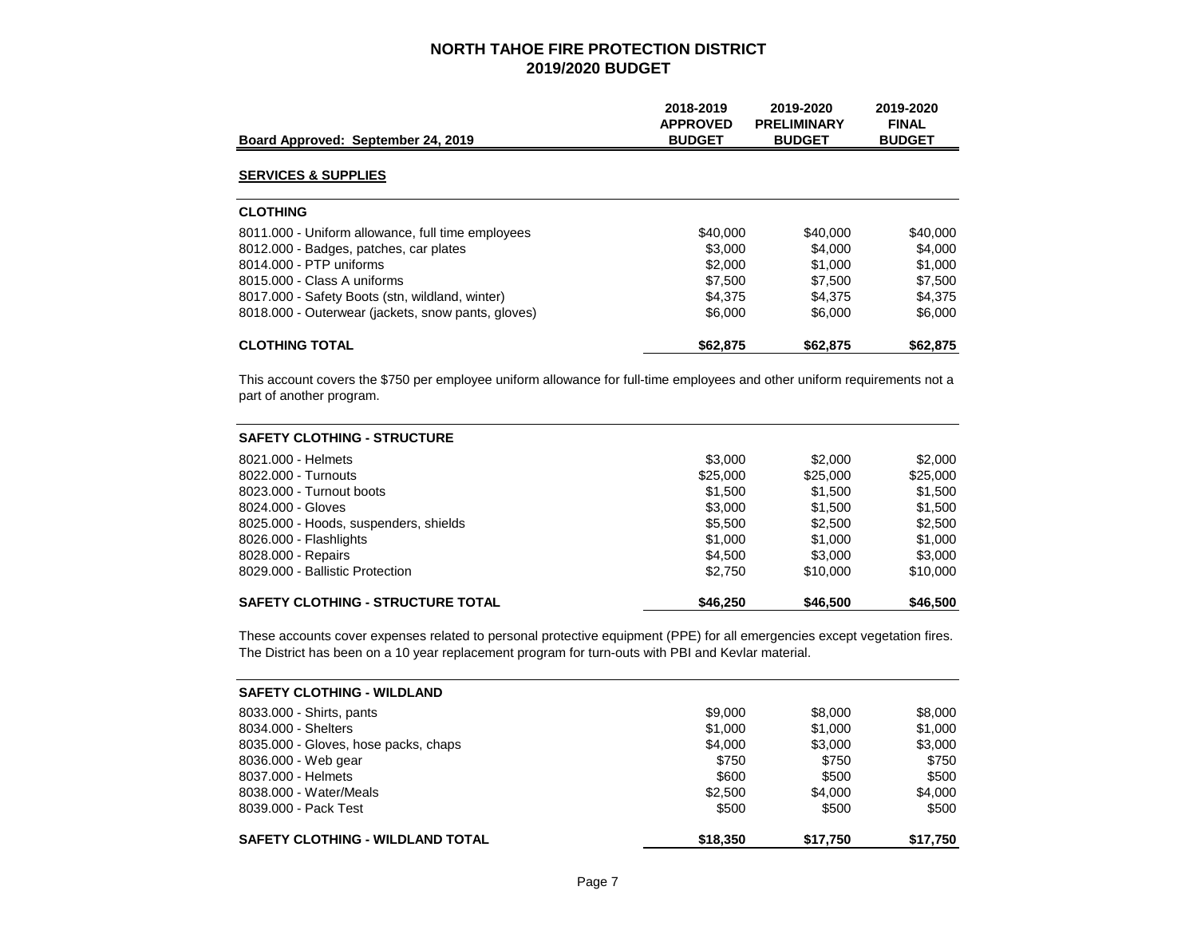| Board Approved: September 24, 2019                 | 2018-2019<br><b>APPROVED</b><br><b>BUDGET</b> | 2019-2020<br><b>PRELIMINARY</b><br><b>BUDGET</b> | 2019-2020<br><b>FINAL</b><br><b>BUDGET</b> |
|----------------------------------------------------|-----------------------------------------------|--------------------------------------------------|--------------------------------------------|
| <b>SERVICES &amp; SUPPLIES</b>                     |                                               |                                                  |                                            |
| <b>CLOTHING</b>                                    |                                               |                                                  |                                            |
| 8011.000 - Uniform allowance, full time employees  | \$40,000                                      | \$40,000                                         | \$40,000                                   |
| 8012.000 - Badges, patches, car plates             | \$3,000                                       | \$4,000                                          | \$4,000                                    |
| 8014.000 - PTP uniforms                            | \$2,000                                       | \$1,000                                          | \$1,000                                    |
| 8015.000 - Class A uniforms                        | \$7.500                                       | \$7.500                                          | \$7,500                                    |
| 8017.000 - Safety Boots (stn. wildland, winter)    | \$4.375                                       | \$4.375                                          | \$4,375                                    |
| 8018.000 - Outerwear (jackets, snow pants, gloves) | \$6,000                                       | \$6,000                                          | \$6,000                                    |
| <b>CLOTHING TOTAL</b>                              | \$62,875                                      | \$62,875                                         | \$62,875                                   |

This account covers the \$750 per employee uniform allowance for full-time employees and other uniform requirements not a part of another program.

| <b>SAFETY CLOTHING - STRUCTURE</b>       |          |          |          |
|------------------------------------------|----------|----------|----------|
| 8021.000 - Helmets                       | \$3,000  | \$2,000  | \$2,000  |
| 8022.000 - Turnouts                      | \$25,000 | \$25,000 | \$25,000 |
| 8023,000 - Turnout boots                 | \$1.500  | \$1,500  | \$1,500  |
| 8024.000 - Gloves                        | \$3,000  | \$1,500  | \$1,500  |
| 8025.000 - Hoods, suspenders, shields    | \$5.500  | \$2,500  | \$2,500  |
| 8026.000 - Flashlights                   | \$1,000  | \$1,000  | \$1,000  |
| 8028.000 - Repairs                       | \$4.500  | \$3,000  | \$3,000  |
| 8029.000 - Ballistic Protection          | \$2.750  | \$10,000 | \$10,000 |
| <b>SAFETY CLOTHING - STRUCTURE TOTAL</b> | \$46,250 | \$46,500 | \$46,500 |

These accounts cover expenses related to personal protective equipment (PPE) for all emergencies except vegetation fires. The District has been on a 10 year replacement program for turn-outs with PBI and Kevlar material.

| <b>SAFETY CLOTHING - WILDLAND</b>       |          |          |          |
|-----------------------------------------|----------|----------|----------|
| 8033.000 - Shirts, pants                | \$9,000  | \$8,000  | \$8,000  |
| 8034.000 - Shelters                     | \$1,000  | \$1,000  | \$1,000  |
| 8035.000 - Gloves, hose packs, chaps    | \$4,000  | \$3,000  | \$3,000  |
| 8036.000 - Web gear                     | \$750    | \$750    | \$750    |
| 8037.000 - Helmets                      | \$600    | \$500    | \$500    |
| 8038.000 - Water/Meals                  | \$2,500  | \$4.000  | \$4.000  |
| 8039,000 - Pack Test                    | \$500    | \$500    | \$500    |
| <b>SAFETY CLOTHING - WILDLAND TOTAL</b> | \$18,350 | \$17,750 | \$17,750 |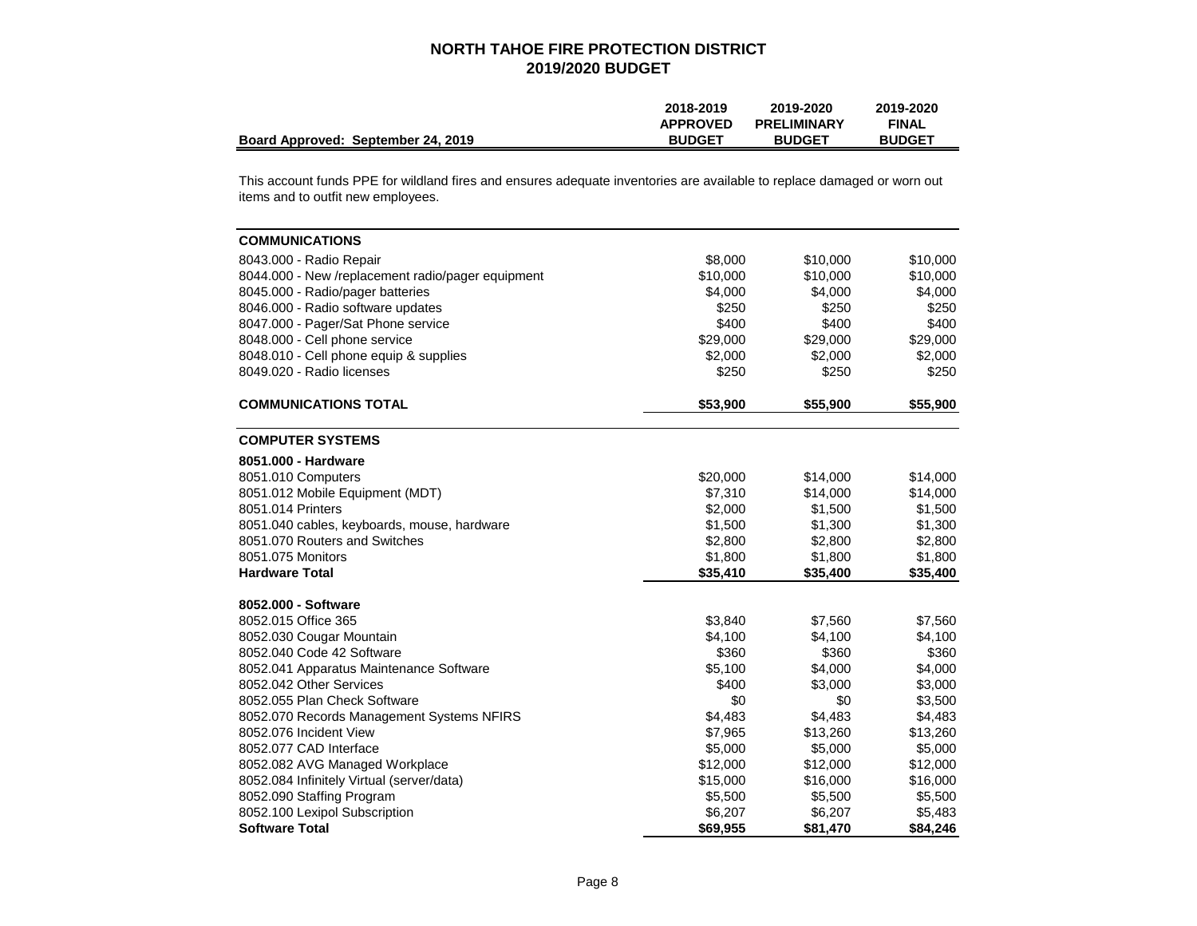|                                    | 2018-2019       | 2019-2020          | 2019-2020     |
|------------------------------------|-----------------|--------------------|---------------|
|                                    | <b>APPROVED</b> | <b>PRELIMINARY</b> | <b>FINAL</b>  |
| Board Approved: September 24, 2019 | <b>BUDGET</b>   | <b>BUDGET</b>      | <b>BUDGET</b> |

This account funds PPE for wildland fires and ensures adequate inventories are available to replace damaged or worn out items and to outfit new employees.

| <b>COMMUNICATIONS</b>                             |          |          |          |
|---------------------------------------------------|----------|----------|----------|
| 8043.000 - Radio Repair                           | \$8,000  | \$10,000 | \$10,000 |
| 8044.000 - New /replacement radio/pager equipment | \$10,000 | \$10,000 | \$10,000 |
| 8045.000 - Radio/pager batteries                  | \$4,000  | \$4,000  | \$4,000  |
| 8046.000 - Radio software updates                 | \$250    | \$250    | \$250    |
| 8047.000 - Pager/Sat Phone service                | \$400    | \$400    | \$400    |
| 8048.000 - Cell phone service                     | \$29,000 | \$29,000 | \$29,000 |
| 8048.010 - Cell phone equip & supplies            | \$2,000  | \$2,000  | \$2,000  |
| 8049.020 - Radio licenses                         | \$250    | \$250    | \$250    |
| <b>COMMUNICATIONS TOTAL</b>                       | \$53,900 | \$55,900 | \$55,900 |
| <b>COMPUTER SYSTEMS</b>                           |          |          |          |
| 8051.000 - Hardware                               |          |          |          |
| 8051.010 Computers                                | \$20,000 | \$14,000 | \$14,000 |
| 8051.012 Mobile Equipment (MDT)                   | \$7,310  | \$14,000 | \$14,000 |
| 8051.014 Printers                                 | \$2,000  | \$1,500  | \$1,500  |
| 8051.040 cables, keyboards, mouse, hardware       | \$1,500  | \$1,300  | \$1,300  |
| 8051.070 Routers and Switches                     | \$2,800  | \$2,800  | \$2,800  |
| 8051.075 Monitors                                 | \$1,800  | \$1,800  | \$1,800  |
| <b>Hardware Total</b>                             | \$35,410 | \$35,400 | \$35,400 |
| 8052.000 - Software                               |          |          |          |
| 8052.015 Office 365                               | \$3,840  | \$7,560  | \$7,560  |
| 8052.030 Cougar Mountain                          | \$4,100  | \$4,100  | \$4,100  |
| 8052.040 Code 42 Software                         | \$360    | \$360    | \$360    |
| 8052.041 Apparatus Maintenance Software           | \$5,100  | \$4,000  | \$4,000  |
| 8052.042 Other Services                           | \$400    | \$3,000  | \$3,000  |
| 8052.055 Plan Check Software                      | \$0      | \$0      | \$3,500  |
| 8052.070 Records Management Systems NFIRS         | \$4,483  | \$4,483  | \$4,483  |
| 8052.076 Incident View                            | \$7,965  | \$13,260 | \$13,260 |
| 8052.077 CAD Interface                            | \$5,000  | \$5,000  | \$5,000  |
| 8052.082 AVG Managed Workplace                    | \$12,000 | \$12,000 | \$12,000 |
| 8052.084 Infinitely Virtual (server/data)         | \$15,000 | \$16,000 | \$16,000 |
| 8052.090 Staffing Program                         | \$5,500  | \$5,500  | \$5,500  |
| 8052.100 Lexipol Subscription                     | \$6,207  | \$6,207  | \$5,483  |
| <b>Software Total</b>                             | \$69,955 | \$81.470 | \$84,246 |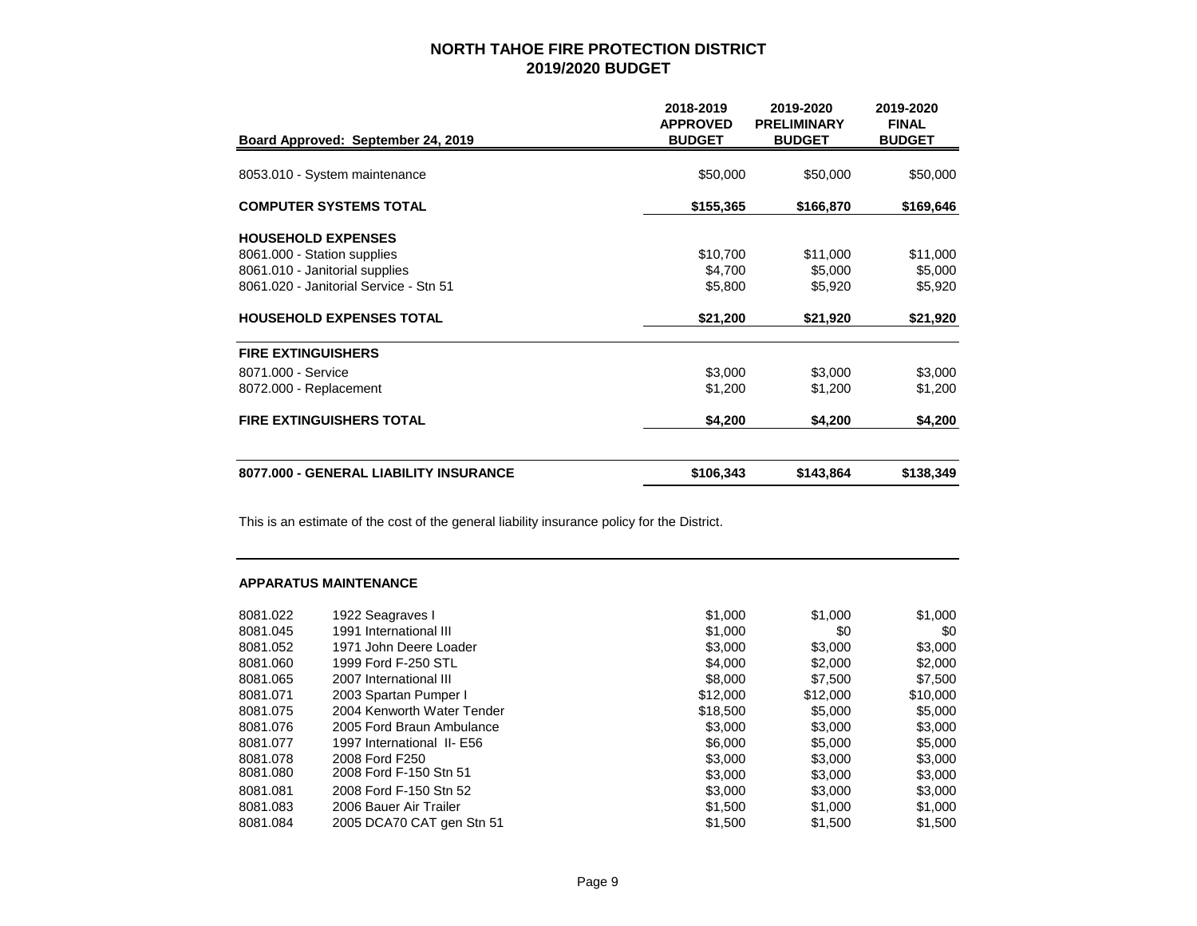| Board Approved: September 24, 2019     | 2018-2019<br><b>APPROVED</b><br><b>BUDGET</b> | 2019-2020<br><b>PRELIMINARY</b><br><b>BUDGET</b> | 2019-2020<br><b>FINAL</b><br><b>BUDGET</b> |
|----------------------------------------|-----------------------------------------------|--------------------------------------------------|--------------------------------------------|
| 8053.010 - System maintenance          | \$50,000                                      | \$50,000                                         | \$50,000                                   |
| <b>COMPUTER SYSTEMS TOTAL</b>          | \$155,365                                     | \$166,870                                        | \$169,646                                  |
| <b>HOUSEHOLD EXPENSES</b>              |                                               |                                                  |                                            |
| 8061.000 - Station supplies            | \$10,700                                      | \$11,000                                         | \$11,000                                   |
| 8061.010 - Janitorial supplies         | \$4,700                                       | \$5,000                                          | \$5,000                                    |
| 8061.020 - Janitorial Service - Stn 51 | \$5,800                                       | \$5,920                                          | \$5,920                                    |
| <b>HOUSEHOLD EXPENSES TOTAL</b>        | \$21,200                                      | \$21,920                                         | \$21,920                                   |
| <b>FIRE EXTINGUISHERS</b>              |                                               |                                                  |                                            |
| 8071.000 - Service                     | \$3,000                                       | \$3,000                                          | \$3,000                                    |
| 8072.000 - Replacement                 | \$1,200                                       | \$1,200                                          | \$1,200                                    |
| <b>FIRE EXTINGUISHERS TOTAL</b>        | \$4,200                                       | \$4,200                                          | \$4,200                                    |
| 8077.000 - GENERAL LIABILITY INSURANCE | \$106,343                                     | \$143,864                                        | \$138,349                                  |

This is an estimate of the cost of the general liability insurance policy for the District.

#### **APPARATUS MAINTENANCE**

| 8081.022 | 1922 Seagraves I           | \$1,000  | \$1,000  | \$1,000  |
|----------|----------------------------|----------|----------|----------|
| 8081.045 | 1991 International III     | \$1,000  | \$0      | \$0      |
| 8081.052 | 1971 John Deere Loader     | \$3,000  | \$3,000  | \$3,000  |
| 8081.060 | 1999 Ford F-250 STL        | \$4,000  | \$2,000  | \$2,000  |
| 8081.065 | 2007 International III     | \$8,000  | \$7.500  | \$7,500  |
| 8081.071 | 2003 Spartan Pumper I      | \$12,000 | \$12,000 | \$10,000 |
| 8081.075 | 2004 Kenworth Water Tender | \$18,500 | \$5,000  | \$5,000  |
| 8081.076 | 2005 Ford Braun Ambulance  | \$3,000  | \$3,000  | \$3,000  |
| 8081.077 | 1997 International II- E56 | \$6,000  | \$5,000  | \$5,000  |
| 8081.078 | 2008 Ford F250             | \$3,000  | \$3,000  | \$3,000  |
| 8081.080 | 2008 Ford F-150 Stn 51     | \$3,000  | \$3,000  | \$3,000  |
| 8081.081 | 2008 Ford F-150 Stn 52     | \$3,000  | \$3,000  | \$3,000  |
| 8081.083 | 2006 Bauer Air Trailer     | \$1,500  | \$1,000  | \$1,000  |
| 8081.084 | 2005 DCA70 CAT gen Stn 51  | \$1,500  | \$1,500  | \$1.500  |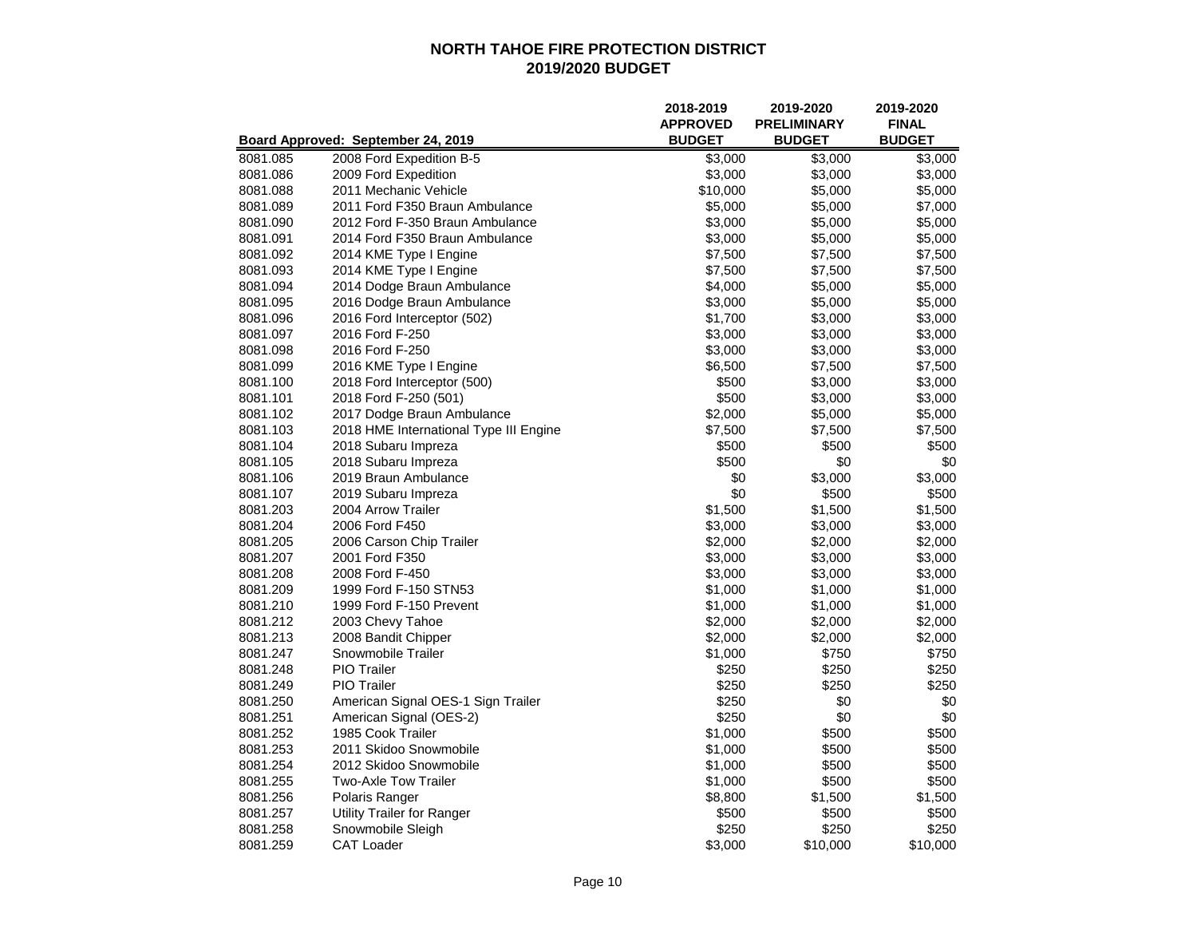|          |                                        | 2018-2019<br><b>APPROVED</b> | 2019-2020<br><b>PRELIMINARY</b> | 2019-2020<br><b>FINAL</b> |
|----------|----------------------------------------|------------------------------|---------------------------------|---------------------------|
|          | Board Approved: September 24, 2019     | <b>BUDGET</b>                | <b>BUDGET</b>                   | <b>BUDGET</b>             |
| 8081.085 | 2008 Ford Expedition B-5               | \$3,000                      | \$3,000                         | \$3,000                   |
| 8081.086 | 2009 Ford Expedition                   | \$3,000                      | \$3,000                         | \$3,000                   |
| 8081.088 | 2011 Mechanic Vehicle                  | \$10,000                     | \$5,000                         | \$5,000                   |
| 8081.089 | 2011 Ford F350 Braun Ambulance         | \$5,000                      | \$5,000                         | \$7,000                   |
| 8081.090 | 2012 Ford F-350 Braun Ambulance        | \$3,000                      | \$5,000                         | \$5,000                   |
| 8081.091 | 2014 Ford F350 Braun Ambulance         | \$3,000                      | \$5,000                         | \$5,000                   |
| 8081.092 | 2014 KME Type I Engine                 | \$7,500                      | \$7,500                         | \$7,500                   |
| 8081.093 | 2014 KME Type I Engine                 | \$7,500                      | \$7,500                         | \$7,500                   |
| 8081.094 | 2014 Dodge Braun Ambulance             | \$4,000                      | \$5,000                         | \$5,000                   |
| 8081.095 | 2016 Dodge Braun Ambulance             | \$3,000                      | \$5,000                         | \$5,000                   |
| 8081.096 | 2016 Ford Interceptor (502)            | \$1,700                      | \$3,000                         | \$3,000                   |
| 8081.097 | 2016 Ford F-250                        | \$3,000                      | \$3,000                         | \$3,000                   |
| 8081.098 | 2016 Ford F-250                        | \$3,000                      | \$3,000                         | \$3,000                   |
| 8081.099 | 2016 KME Type I Engine                 | \$6,500                      | \$7,500                         | \$7,500                   |
| 8081.100 | 2018 Ford Interceptor (500)            | \$500                        | \$3,000                         | \$3,000                   |
| 8081.101 | 2018 Ford F-250 (501)                  | \$500                        | \$3,000                         | \$3,000                   |
| 8081.102 | 2017 Dodge Braun Ambulance             | \$2,000                      | \$5,000                         | \$5,000                   |
| 8081.103 | 2018 HME International Type III Engine | \$7,500                      | \$7,500                         | \$7,500                   |
| 8081.104 | 2018 Subaru Impreza                    | \$500                        | \$500                           | \$500                     |
| 8081.105 | 2018 Subaru Impreza                    | \$500                        | \$0                             | \$0                       |
| 8081.106 | 2019 Braun Ambulance                   | \$0                          | \$3,000                         | \$3,000                   |
| 8081.107 | 2019 Subaru Impreza                    | \$0                          | \$500                           | \$500                     |
| 8081.203 | 2004 Arrow Trailer                     | \$1,500                      | \$1,500                         | \$1,500                   |
| 8081.204 | 2006 Ford F450                         | \$3,000                      | \$3,000                         | \$3,000                   |
| 8081.205 | 2006 Carson Chip Trailer               | \$2,000                      | \$2,000                         | \$2,000                   |
| 8081.207 | 2001 Ford F350                         | \$3,000                      | \$3,000                         | \$3,000                   |
| 8081.208 | 2008 Ford F-450                        | \$3,000                      | \$3,000                         | \$3,000                   |
| 8081.209 | 1999 Ford F-150 STN53                  | \$1,000                      | \$1,000                         | \$1,000                   |
| 8081.210 | 1999 Ford F-150 Prevent                | \$1,000                      | \$1,000                         | \$1,000                   |
| 8081.212 | 2003 Chevy Tahoe                       | \$2,000                      | \$2,000                         | \$2,000                   |
| 8081.213 | 2008 Bandit Chipper                    | \$2,000                      | \$2,000                         | \$2,000                   |
| 8081.247 | Snowmobile Trailer                     | \$1,000                      | \$750                           | \$750                     |
| 8081.248 | <b>PIO</b> Trailer                     | \$250                        | \$250                           | \$250                     |
| 8081.249 | <b>PIO</b> Trailer                     | \$250                        | \$250                           | \$250                     |
| 8081.250 | American Signal OES-1 Sign Trailer     | \$250                        | \$0                             | \$0                       |
| 8081.251 | American Signal (OES-2)                | \$250                        | \$0                             | \$0                       |
| 8081.252 | 1985 Cook Trailer                      | \$1,000                      | \$500                           | \$500                     |
| 8081.253 | 2011 Skidoo Snowmobile                 | \$1,000                      | \$500                           | \$500                     |
| 8081.254 | 2012 Skidoo Snowmobile                 | \$1,000                      | \$500                           | \$500                     |
| 8081.255 | Two-Axle Tow Trailer                   | \$1,000                      | \$500                           | \$500                     |
| 8081.256 | Polaris Ranger                         | \$8,800                      | \$1,500                         | \$1,500                   |
| 8081.257 | <b>Utility Trailer for Ranger</b>      | \$500                        | \$500                           | \$500                     |
| 8081.258 | Snowmobile Sleigh                      | \$250                        | \$250                           | \$250                     |
| 8081.259 | <b>CAT Loader</b>                      | \$3,000                      | \$10,000                        | \$10,000                  |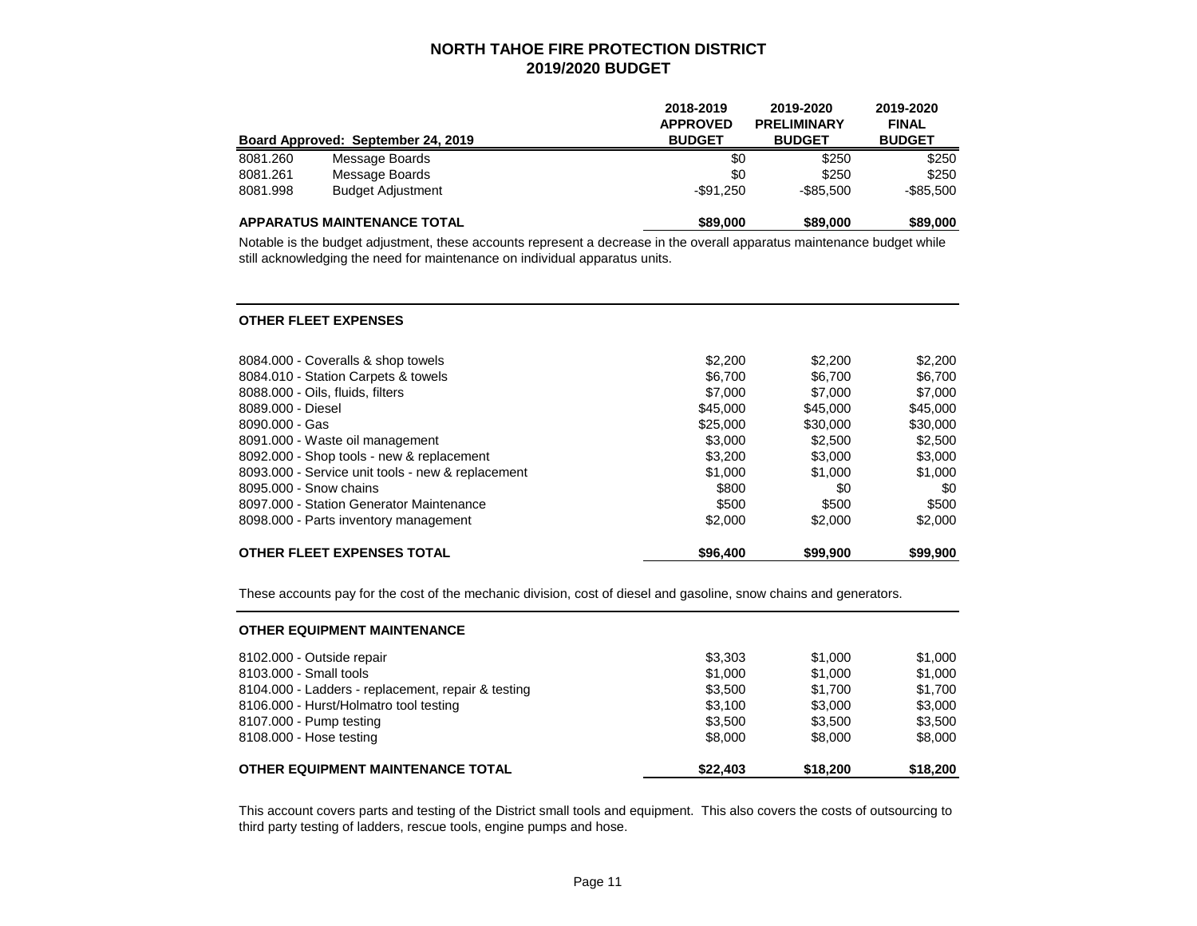|          | Board Approved: September 24, 2019 | 2018-2019<br><b>APPROVED</b><br><b>BUDGET</b> | 2019-2020<br><b>PRELIMINARY</b><br><b>BUDGET</b> | 2019-2020<br><b>FINAL</b><br><b>BUDGET</b> |
|----------|------------------------------------|-----------------------------------------------|--------------------------------------------------|--------------------------------------------|
| 8081.260 | Message Boards                     | \$0                                           | \$250                                            | \$250                                      |
| 8081.261 | Message Boards                     | \$0                                           | \$250                                            | \$250                                      |
| 8081.998 | <b>Budget Adjustment</b>           | $-$ \$91.250                                  | $-$ \$85.500                                     | $-$ \$85.500                               |
|          | <b>APPARATUS MAINTENANCE TOTAL</b> | \$89,000                                      | \$89,000                                         | \$89,000                                   |

Notable is the budget adjustment, these accounts represent a decrease in the overall apparatus maintenance budget while still acknowledging the need for maintenance on individual apparatus units.

#### **OTHER FLEET EXPENSES**

| 8084.000 - Coveralls & shop towels                | \$2,200  | \$2,200  | \$2,200  |
|---------------------------------------------------|----------|----------|----------|
| 8084.010 - Station Carpets & towels               | \$6.700  | \$6.700  | \$6,700  |
| 8088.000 - Oils, fluids, filters                  | \$7,000  | \$7,000  | \$7,000  |
| 8089.000 - Diesel                                 | \$45,000 | \$45,000 | \$45,000 |
| 8090.000 - Gas                                    | \$25,000 | \$30,000 | \$30,000 |
| 8091.000 - Waste oil management                   | \$3,000  | \$2.500  | \$2,500  |
| 8092.000 - Shop tools - new & replacement         | \$3,200  | \$3,000  | \$3,000  |
| 8093.000 - Service unit tools - new & replacement | \$1,000  | \$1,000  | \$1,000  |
| 8095,000 - Snow chains                            | \$800    | \$0      | \$0      |
| 8097.000 - Station Generator Maintenance          | \$500    | \$500    | \$500    |
| 8098.000 - Parts inventory management             | \$2,000  | \$2,000  | \$2,000  |
| <b>OTHER FLEET EXPENSES TOTAL</b>                 | \$96,400 | \$99,900 | \$99,900 |

These accounts pay for the cost of the mechanic division, cost of diesel and gasoline, snow chains and generators.

| <b>OTHER EQUIPMENT MAINTENANCE</b>                 |          |          |          |
|----------------------------------------------------|----------|----------|----------|
| 8102.000 - Outside repair                          | \$3,303  | \$1,000  | \$1,000  |
| 8103.000 - Small tools                             | \$1,000  | \$1,000  | \$1,000  |
| 8104.000 - Ladders - replacement, repair & testing | \$3.500  | \$1.700  | \$1.700  |
| 8106.000 - Hurst/Holmatro tool testing             | \$3.100  | \$3,000  | \$3,000  |
| 8107.000 - Pump testing                            | \$3.500  | \$3.500  | \$3,500  |
| 8108.000 - Hose testing                            | \$8,000  | \$8,000  | \$8,000  |
| <b>OTHER EQUIPMENT MAINTENANCE TOTAL</b>           | \$22,403 | \$18,200 | \$18,200 |

This account covers parts and testing of the District small tools and equipment. This also covers the costs of outsourcing to third party testing of ladders, rescue tools, engine pumps and hose.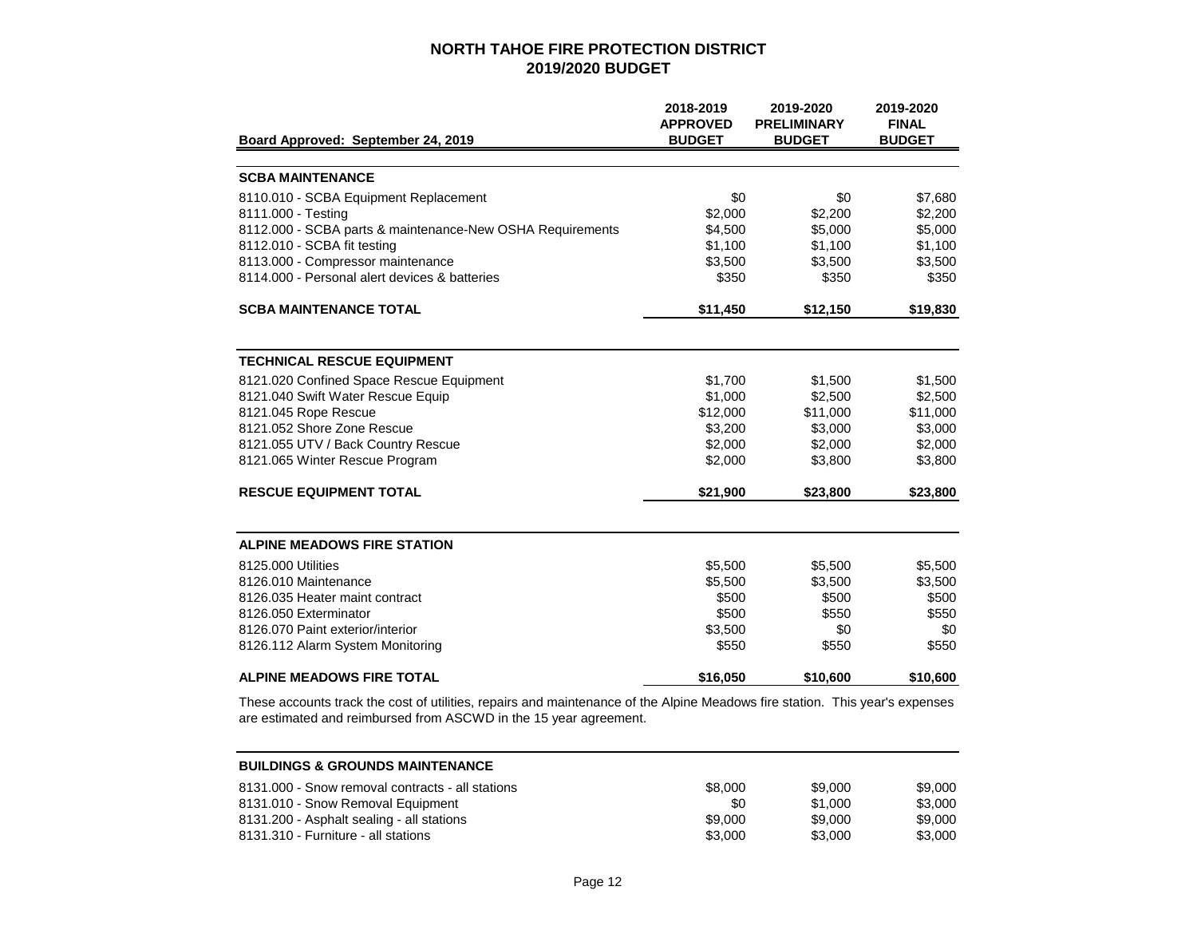|                                                           | 2018-2019<br><b>APPROVED</b> | 2019-2020<br><b>PRELIMINARY</b> | 2019-2020<br><b>FINAL</b> |
|-----------------------------------------------------------|------------------------------|---------------------------------|---------------------------|
| Board Approved: September 24, 2019                        | <b>BUDGET</b>                | <b>BUDGET</b>                   | <b>BUDGET</b>             |
| <b>SCBA MAINTENANCE</b>                                   |                              |                                 |                           |
| 8110.010 - SCBA Equipment Replacement                     | \$0                          | \$0                             | \$7,680                   |
| 8111.000 - Testing                                        | \$2,000                      | \$2,200                         | \$2,200                   |
| 8112.000 - SCBA parts & maintenance-New OSHA Requirements | \$4,500                      | \$5,000                         | \$5,000                   |
| 8112.010 - SCBA fit testing                               | \$1,100                      | \$1,100                         | \$1,100                   |
| 8113.000 - Compressor maintenance                         | \$3,500                      | \$3,500                         | \$3,500                   |
| 8114.000 - Personal alert devices & batteries             | \$350                        | \$350                           | \$350                     |
| <b>SCBA MAINTENANCE TOTAL</b>                             | \$11,450                     | \$12,150                        | \$19,830                  |
|                                                           |                              |                                 |                           |
| <b>TECHNICAL RESCUE EQUIPMENT</b>                         |                              |                                 |                           |
| 8121.020 Confined Space Rescue Equipment                  | \$1,700                      | \$1,500                         | \$1,500                   |
| 8121.040 Swift Water Rescue Equip                         | \$1,000                      | \$2,500                         | \$2,500                   |
| 8121.045 Rope Rescue                                      | \$12,000                     | \$11,000                        | \$11,000                  |
| 8121.052 Shore Zone Rescue                                | \$3,200                      | \$3,000                         | \$3,000                   |
| 8121.055 UTV / Back Country Rescue                        | \$2,000                      | \$2,000                         | \$2,000                   |
| 8121.065 Winter Rescue Program                            | \$2,000                      | \$3,800                         | \$3,800                   |
| <b>RESCUE EQUIPMENT TOTAL</b>                             | \$21,900                     | \$23,800                        | \$23,800                  |
| <b>ALPINE MEADOWS FIRE STATION</b>                        |                              |                                 |                           |
| 8125,000 Utilities                                        | \$5,500                      | \$5,500                         | \$5,500                   |
| 8126.010 Maintenance                                      | \$5,500                      | \$3,500                         | \$3,500                   |
| 8126.035 Heater maint contract                            | \$500                        | \$500                           | \$500                     |
| 8126.050 Exterminator                                     | \$500                        | \$550                           | \$550                     |
| 8126.070 Paint exterior/interior                          | \$3,500                      | \$0                             | \$0                       |
| 8126.112 Alarm System Monitoring                          | \$550                        | \$550                           | \$550                     |
| <b>ALPINE MEADOWS FIRE TOTAL</b>                          | \$16,050                     | \$10,600                        | \$10,600                  |

These accounts track the cost of utilities, repairs and maintenance of the Alpine Meadows fire station. This year's expenses are estimated and reimbursed from ASCWD in the 15 year agreement.

| <b>BUILDINGS &amp; GROUNDS MAINTENANCE</b>       |         |         |         |
|--------------------------------------------------|---------|---------|---------|
| 8131,000 - Snow removal contracts - all stations | \$8,000 | \$9,000 | \$9.000 |
| 8131.010 - Snow Removal Equipment                | \$0     | \$1,000 | \$3.000 |
| 8131.200 - Asphalt sealing - all stations        | \$9,000 | \$9,000 | \$9,000 |
| 8131.310 - Furniture - all stations              | \$3,000 | \$3,000 | \$3,000 |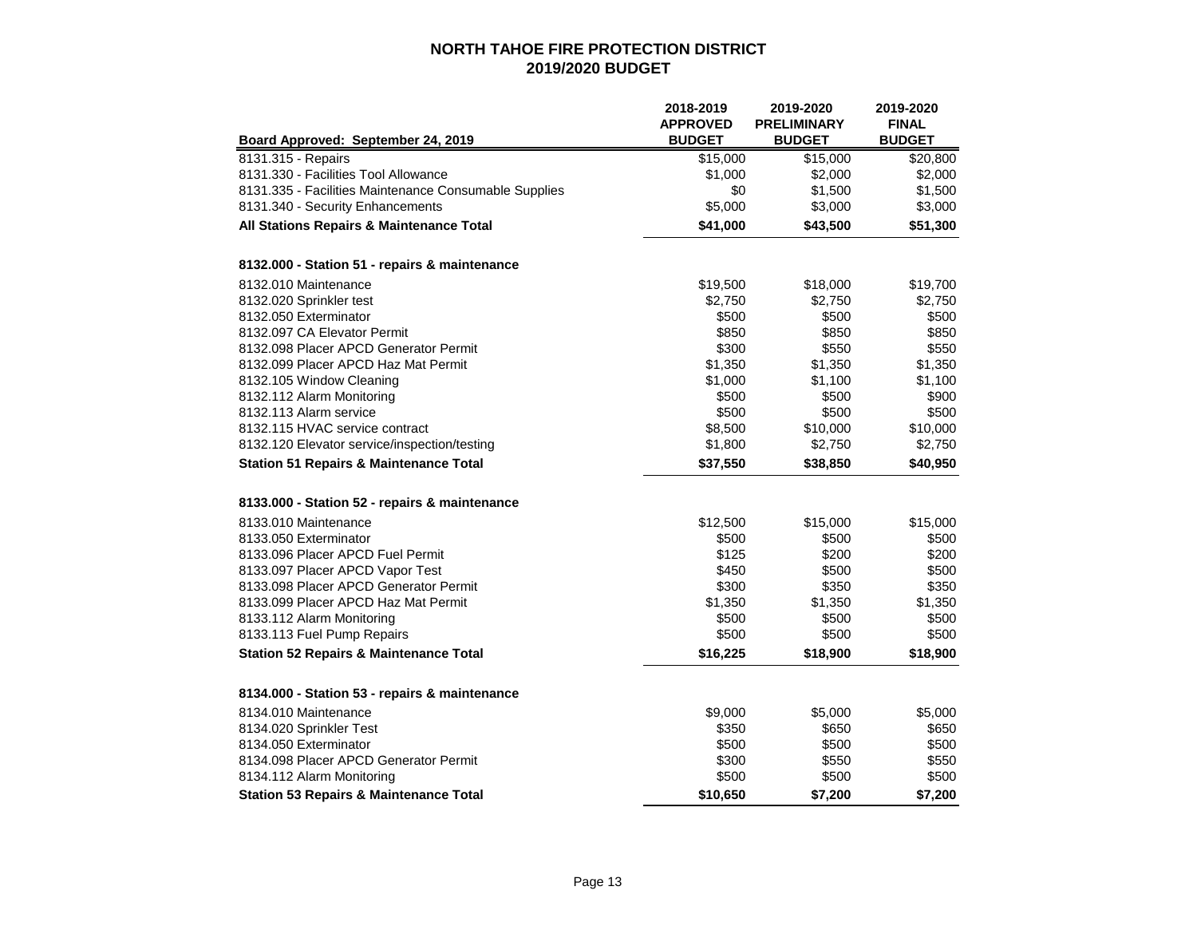|                                                       | 2018-2019<br><b>APPROVED</b> | 2019-2020<br><b>PRELIMINARY</b> | 2019-2020<br><b>FINAL</b> |
|-------------------------------------------------------|------------------------------|---------------------------------|---------------------------|
| Board Approved: September 24, 2019                    | <b>BUDGET</b>                | <b>BUDGET</b>                   | <b>BUDGET</b>             |
| 8131.315 - Repairs                                    | \$15,000                     | \$15,000                        | \$20,800                  |
| 8131.330 - Facilities Tool Allowance                  | \$1,000                      | \$2,000                         | \$2,000                   |
| 8131.335 - Facilities Maintenance Consumable Supplies | \$0                          | \$1,500                         | \$1,500                   |
| 8131.340 - Security Enhancements                      | \$5,000                      | \$3,000                         | \$3,000                   |
| All Stations Repairs & Maintenance Total              | \$41,000                     | \$43,500                        | \$51,300                  |
| 8132.000 - Station 51 - repairs & maintenance         |                              |                                 |                           |
| 8132.010 Maintenance                                  | \$19,500                     | \$18,000                        | \$19,700                  |
| 8132.020 Sprinkler test                               | \$2,750                      | \$2,750                         | \$2,750                   |
| 8132.050 Exterminator                                 | \$500                        | \$500                           | \$500                     |
| 8132.097 CA Elevator Permit                           | \$850                        | \$850                           | \$850                     |
| 8132.098 Placer APCD Generator Permit                 | \$300                        | \$550                           | \$550                     |
| 8132.099 Placer APCD Haz Mat Permit                   | \$1,350                      | \$1,350                         | \$1,350                   |
| 8132.105 Window Cleaning                              | \$1,000                      | \$1,100                         | \$1,100                   |
| 8132.112 Alarm Monitoring                             | \$500                        | \$500                           | \$900                     |
| 8132.113 Alarm service                                | \$500                        | \$500                           | \$500                     |
| 8132.115 HVAC service contract                        | \$8,500                      | \$10,000                        | \$10,000                  |
| 8132.120 Elevator service/inspection/testing          | \$1,800                      | \$2,750                         | \$2,750                   |
| <b>Station 51 Repairs &amp; Maintenance Total</b>     | \$37,550                     | \$38,850                        | \$40,950                  |
| 8133.000 - Station 52 - repairs & maintenance         |                              |                                 |                           |
| 8133.010 Maintenance                                  | \$12,500                     | \$15,000                        | \$15,000                  |
| 8133,050 Exterminator                                 | \$500                        | \$500                           | \$500                     |
| 8133.096 Placer APCD Fuel Permit                      | \$125                        | \$200                           | \$200                     |
| 8133.097 Placer APCD Vapor Test                       | \$450                        | \$500                           | \$500                     |
| 8133.098 Placer APCD Generator Permit                 | \$300                        | \$350                           | \$350                     |
| 8133.099 Placer APCD Haz Mat Permit                   | \$1,350                      | \$1,350                         | \$1,350                   |
| 8133.112 Alarm Monitoring                             | \$500                        | \$500                           | \$500                     |
| 8133.113 Fuel Pump Repairs                            | \$500                        | \$500                           | \$500                     |
| <b>Station 52 Repairs &amp; Maintenance Total</b>     | \$16,225                     | \$18,900                        | \$18,900                  |
| 8134.000 - Station 53 - repairs & maintenance         |                              |                                 |                           |
| 8134.010 Maintenance                                  | \$9,000                      | \$5,000                         | \$5,000                   |
| 8134.020 Sprinkler Test                               | \$350                        | \$650                           | \$650                     |
| 8134.050 Exterminator                                 | \$500                        | \$500                           | \$500                     |
| 8134.098 Placer APCD Generator Permit                 | \$300                        | \$550                           | \$550                     |
| 8134.112 Alarm Monitoring                             | \$500                        | \$500                           | \$500                     |
| <b>Station 53 Repairs &amp; Maintenance Total</b>     | \$10,650                     | \$7,200                         | \$7,200                   |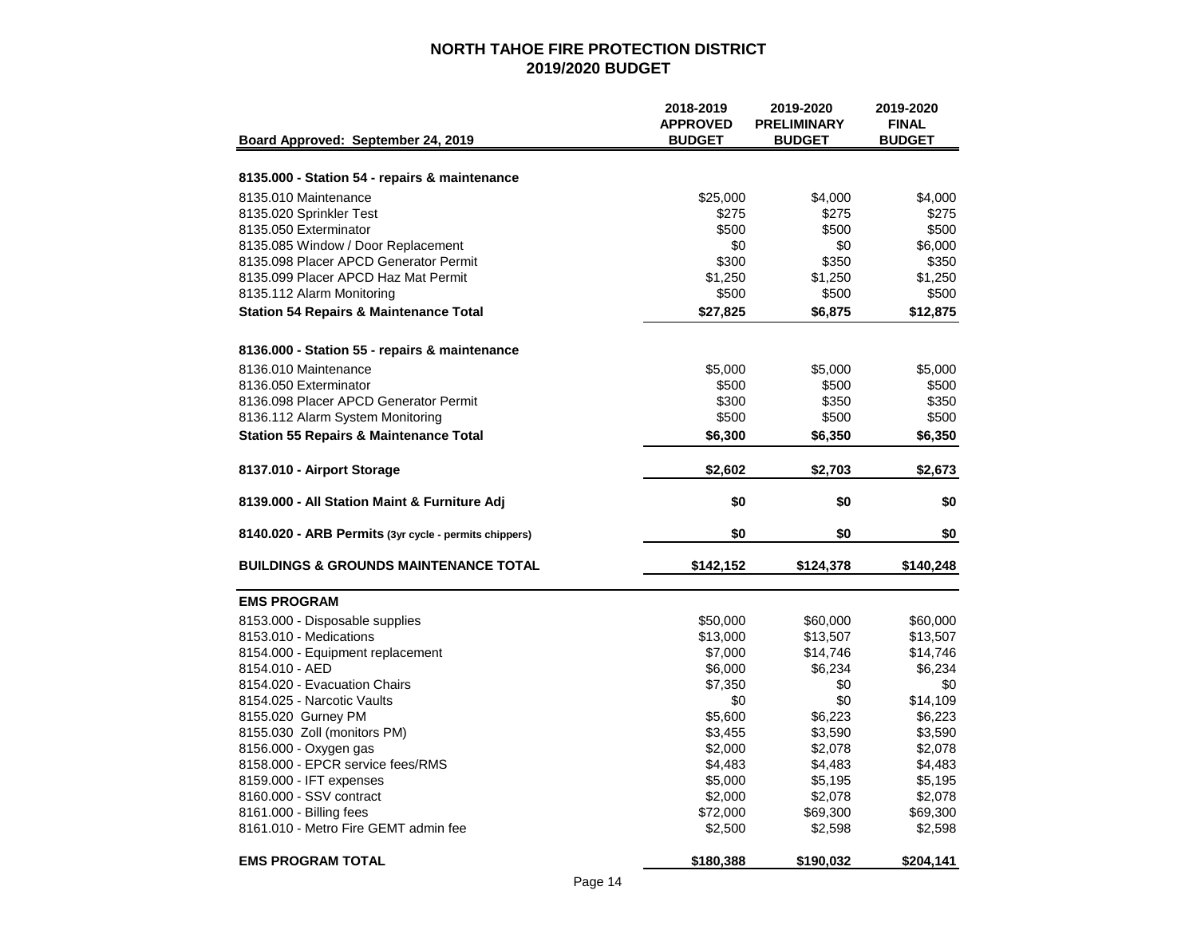|                                                       | 2018-2019       | 2019-2020          | 2019-2020     |
|-------------------------------------------------------|-----------------|--------------------|---------------|
|                                                       | <b>APPROVED</b> | <b>PRELIMINARY</b> | <b>FINAL</b>  |
| Board Approved: September 24, 2019                    | <b>BUDGET</b>   | <b>BUDGET</b>      | <b>BUDGET</b> |
|                                                       |                 |                    |               |
| 8135.000 - Station 54 - repairs & maintenance         |                 |                    |               |
| 8135.010 Maintenance                                  | \$25,000        | \$4,000            | \$4,000       |
| 8135.020 Sprinkler Test                               | \$275           | \$275              | \$275         |
| 8135.050 Exterminator                                 | \$500           | \$500              | \$500         |
| 8135.085 Window / Door Replacement                    | \$0             | \$0                | \$6,000       |
| 8135.098 Placer APCD Generator Permit                 | \$300           | \$350              | \$350         |
| 8135.099 Placer APCD Haz Mat Permit                   | \$1,250         | \$1,250            | \$1,250       |
| 8135.112 Alarm Monitoring                             | \$500           | \$500              | \$500         |
| <b>Station 54 Repairs &amp; Maintenance Total</b>     | \$27,825        | \$6,875            | \$12,875      |
| 8136.000 - Station 55 - repairs & maintenance         |                 |                    |               |
| 8136.010 Maintenance                                  | \$5,000         | \$5,000            | \$5,000       |
| 8136.050 Exterminator                                 | \$500           | \$500              | \$500         |
| 8136.098 Placer APCD Generator Permit                 | \$300           | \$350              | \$350         |
| 8136.112 Alarm System Monitoring                      | \$500           | \$500              | \$500         |
|                                                       | \$6,300         |                    |               |
| <b>Station 55 Repairs &amp; Maintenance Total</b>     |                 | \$6,350            | \$6,350       |
| 8137.010 - Airport Storage                            | \$2,602         | \$2,703            | \$2,673       |
| 8139.000 - All Station Maint & Furniture Adj          | \$0             | \$0                | \$0           |
| 8140.020 - ARB Permits (3yr cycle - permits chippers) | \$0             | \$0                | \$0           |
| <b>BUILDINGS &amp; GROUNDS MAINTENANCE TOTAL</b>      | \$142,152       | \$124,378          | \$140,248     |
| <b>EMS PROGRAM</b>                                    |                 |                    |               |
| 8153.000 - Disposable supplies                        | \$50,000        | \$60,000           | \$60,000      |
| 8153.010 - Medications                                | \$13,000        | \$13,507           | \$13,507      |
| 8154.000 - Equipment replacement                      | \$7,000         | \$14,746           | \$14,746      |
| 8154.010 - AED                                        | \$6,000         | \$6,234            | \$6,234       |
| 8154.020 - Evacuation Chairs                          | \$7,350         | \$0                | \$0           |
| 8154.025 - Narcotic Vaults                            | \$0             | \$0                | \$14,109      |
| 8155.020 Gurney PM                                    | \$5,600         | \$6,223            | \$6,223       |
| 8155.030 Zoll (monitors PM)                           | \$3,455         | \$3,590            | \$3,590       |
| 8156.000 - Oxygen gas                                 | \$2,000         | \$2,078            | \$2,078       |
| 8158.000 - EPCR service fees/RMS                      | \$4,483         | \$4,483            | \$4,483       |
| 8159.000 - IFT expenses                               | \$5,000         | \$5,195            | \$5,195       |
| 8160.000 - SSV contract                               | \$2,000         |                    | \$2,078       |
| 8161.000 - Billing fees                               |                 | \$2,078            |               |
| 8161.010 - Metro Fire GEMT admin fee                  | \$72,000        | \$69,300           | \$69,300      |
|                                                       | \$2,500         | \$2,598            | \$2,598       |
| <b>EMS PROGRAM TOTAL</b>                              | \$180,388       | \$190,032          | \$204,141     |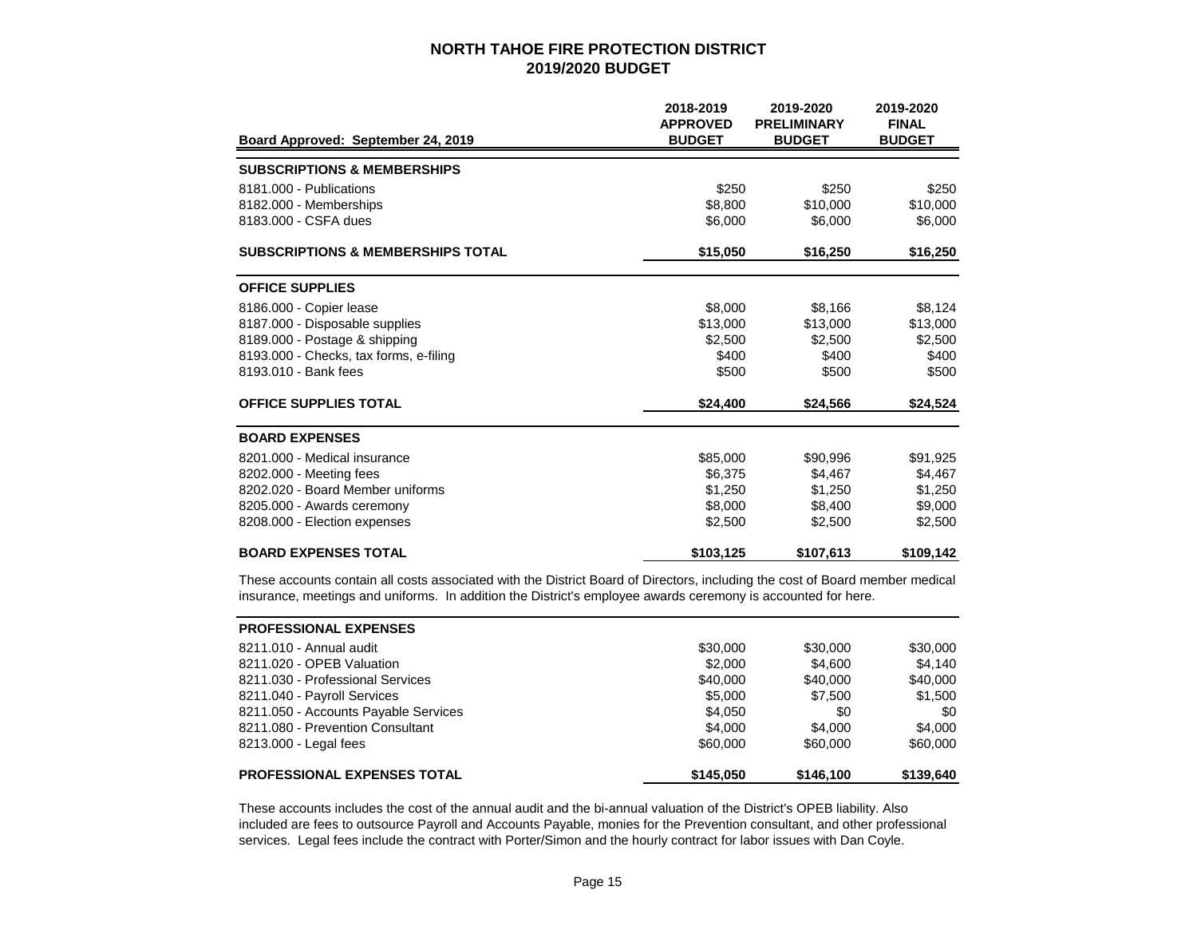|                                              | 2018-2019<br><b>APPROVED</b> | 2019-2020<br><b>PRELIMINARY</b> | 2019-2020<br><b>FINAL</b> |
|----------------------------------------------|------------------------------|---------------------------------|---------------------------|
| Board Approved: September 24, 2019           | <b>BUDGET</b>                | <b>BUDGET</b>                   | <b>BUDGET</b>             |
| <b>SUBSCRIPTIONS &amp; MEMBERSHIPS</b>       |                              |                                 |                           |
| 8181.000 - Publications                      | \$250                        | \$250                           | \$250                     |
| 8182.000 - Memberships                       | \$8,800                      | \$10,000                        | \$10,000                  |
| 8183,000 - CSFA dues                         | \$6,000                      | \$6,000                         | \$6,000                   |
| <b>SUBSCRIPTIONS &amp; MEMBERSHIPS TOTAL</b> | \$15,050                     | \$16,250                        | \$16,250                  |
| <b>OFFICE SUPPLIES</b>                       |                              |                                 |                           |
| 8186.000 - Copier lease                      | \$8,000                      | \$8.166                         | \$8,124                   |
| 8187.000 - Disposable supplies               | \$13,000                     | \$13,000                        | \$13,000                  |
| 8189.000 - Postage & shipping                | \$2,500                      | \$2,500                         | \$2,500                   |
| 8193.000 - Checks, tax forms, e-filing       | \$400                        | \$400                           | \$400                     |
| 8193.010 - Bank fees                         | \$500                        | \$500                           | \$500                     |
| <b>OFFICE SUPPLIES TOTAL</b>                 | \$24,400                     | \$24,566                        | \$24,524                  |
| <b>BOARD EXPENSES</b>                        |                              |                                 |                           |
| 8201.000 - Medical insurance                 | \$85,000                     | \$90,996                        | \$91,925                  |
| 8202.000 - Meeting fees                      | \$6,375                      | \$4,467                         | \$4,467                   |
| 8202.020 - Board Member uniforms             | \$1,250                      | \$1.250                         | \$1,250                   |
| 8205.000 - Awards ceremony                   | \$8,000                      | \$8,400                         | \$9,000                   |
| 8208.000 - Election expenses                 | \$2,500                      | \$2,500                         | \$2,500                   |
| <b>BOARD EXPENSES TOTAL</b>                  | \$103,125                    | \$107,613                       | \$109,142                 |

These accounts contain all costs associated with the District Board of Directors, including the cost of Board member medical insurance, meetings and uniforms. In addition the District's employee awards ceremony is accounted for here.

| <b>PROFESSIONAL EXPENSES</b>         |           |           |           |
|--------------------------------------|-----------|-----------|-----------|
| 8211.010 - Annual audit              | \$30,000  | \$30,000  | \$30,000  |
| 8211.020 - OPEB Valuation            | \$2,000   | \$4.600   | \$4.140   |
| 8211.030 - Professional Services     | \$40,000  | \$40,000  | \$40,000  |
| 8211.040 - Payroll Services          | \$5,000   | \$7,500   | \$1,500   |
| 8211.050 - Accounts Payable Services | \$4,050   | \$0       | \$0       |
| 8211.080 - Prevention Consultant     | \$4,000   | \$4.000   | \$4,000   |
| 8213.000 - Legal fees                | \$60,000  | \$60,000  | \$60,000  |
| <b>PROFESSIONAL EXPENSES TOTAL</b>   | \$145,050 | \$146,100 | \$139,640 |

These accounts includes the cost of the annual audit and the bi-annual valuation of the District's OPEB liability. Also included are fees to outsource Payroll and Accounts Payable, monies for the Prevention consultant, and other professional services. Legal fees include the contract with Porter/Simon and the hourly contract for labor issues with Dan Coyle.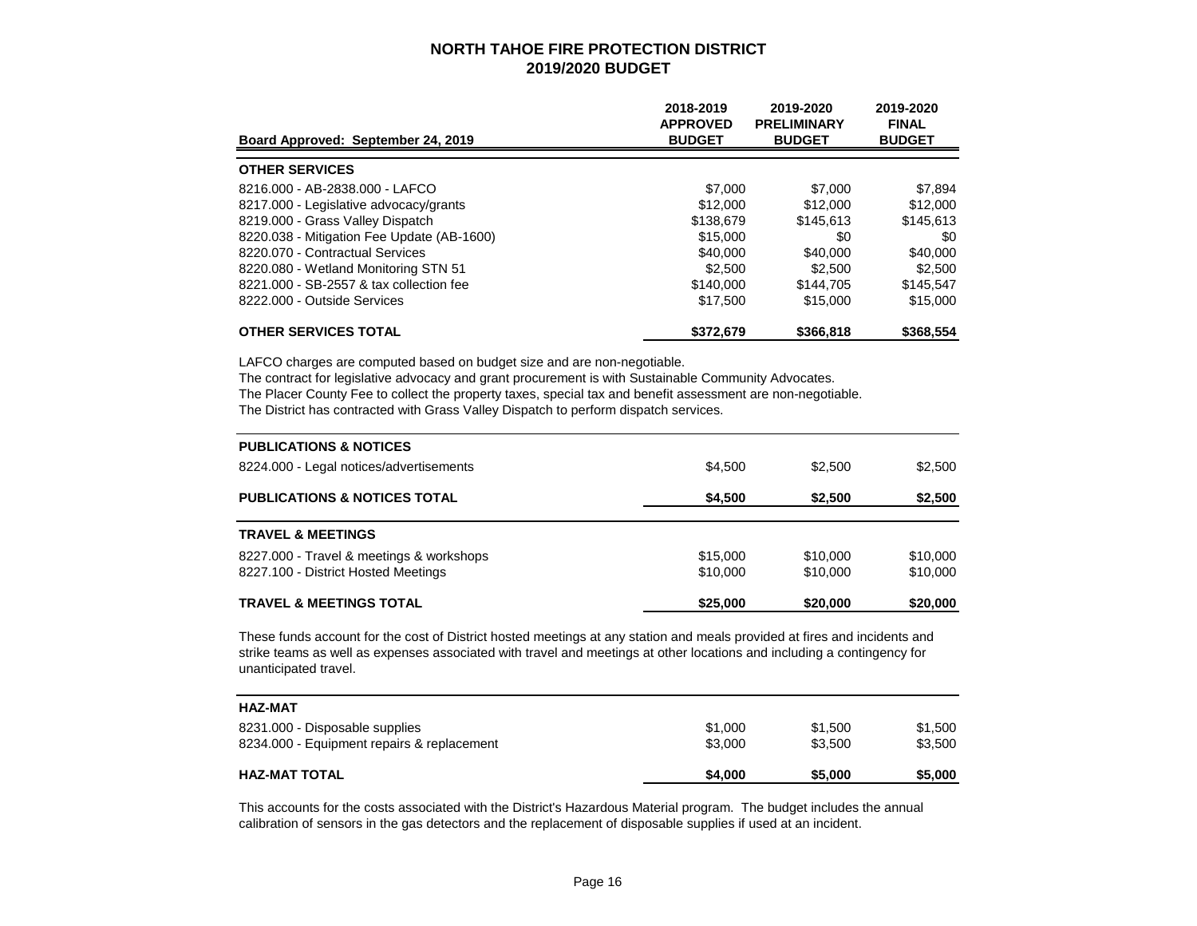| Board Approved: September 24, 2019         | 2018-2019<br><b>APPROVED</b><br><b>BUDGET</b> | 2019-2020<br><b>PRELIMINARY</b><br><b>BUDGET</b> | 2019-2020<br><b>FINAL</b><br><b>BUDGET</b> |
|--------------------------------------------|-----------------------------------------------|--------------------------------------------------|--------------------------------------------|
| <b>OTHER SERVICES</b>                      |                                               |                                                  |                                            |
| 8216.000 - AB-2838.000 - LAFCO             | \$7,000                                       | \$7,000                                          | \$7,894                                    |
| 8217.000 - Legislative advocacy/grants     | \$12,000                                      | \$12,000                                         | \$12,000                                   |
| 8219.000 - Grass Valley Dispatch           | \$138,679                                     | \$145,613                                        | \$145,613                                  |
| 8220.038 - Mitigation Fee Update (AB-1600) | \$15,000                                      | \$0                                              | \$0                                        |
| 8220.070 - Contractual Services            | \$40,000                                      | \$40,000                                         | \$40,000                                   |
| 8220.080 - Wetland Monitoring STN 51       | \$2,500                                       | \$2,500                                          | \$2,500                                    |
| 8221,000 - SB-2557 & tax collection fee    | \$140,000                                     | \$144.705                                        | \$145.547                                  |
| 8222.000 - Outside Services                | \$17,500                                      | \$15,000                                         | \$15,000                                   |
| <b>OTHER SERVICES TOTAL</b>                | \$372,679                                     | \$366,818                                        | \$368,554                                  |

LAFCO charges are computed based on budget size and are non-negotiable.

The contract for legislative advocacy and grant procurement is with Sustainable Community Advocates.

The Placer County Fee to collect the property taxes, special tax and benefit assessment are non-negotiable.

The District has contracted with Grass Valley Dispatch to perform dispatch services.

| <b>PUBLICATIONS &amp; NOTICES</b>                                               |                      |                      |                      |
|---------------------------------------------------------------------------------|----------------------|----------------------|----------------------|
| 8224.000 - Legal notices/advertisements                                         | \$4.500              | \$2,500              | \$2,500              |
| <b>PUBLICATIONS &amp; NOTICES TOTAL</b>                                         | \$4,500              | \$2,500              | \$2,500              |
| <b>TRAVEL &amp; MEETINGS</b>                                                    |                      |                      |                      |
| 8227.000 - Travel & meetings & workshops<br>8227.100 - District Hosted Meetings | \$15,000<br>\$10,000 | \$10,000<br>\$10,000 | \$10,000<br>\$10,000 |
| <b>TRAVEL &amp; MEETINGS TOTAL</b>                                              | \$25,000             | \$20,000             | \$20,000             |

These funds account for the cost of District hosted meetings at any station and meals provided at fires and incidents and strike teams as well as expenses associated with travel and meetings at other locations and including a contingency for unanticipated travel.

| <b>HAZ-MAT</b>                             |         |         |         |
|--------------------------------------------|---------|---------|---------|
| 8231,000 - Disposable supplies             | \$1,000 | \$1.500 | \$1,500 |
| 8234.000 - Equipment repairs & replacement | \$3,000 | \$3.500 | \$3,500 |
| <b>HAZ-MAT TOTAL</b>                       | \$4,000 | \$5,000 | \$5,000 |

This accounts for the costs associated with the District's Hazardous Material program. The budget includes the annual calibration of sensors in the gas detectors and the replacement of disposable supplies if used at an incident.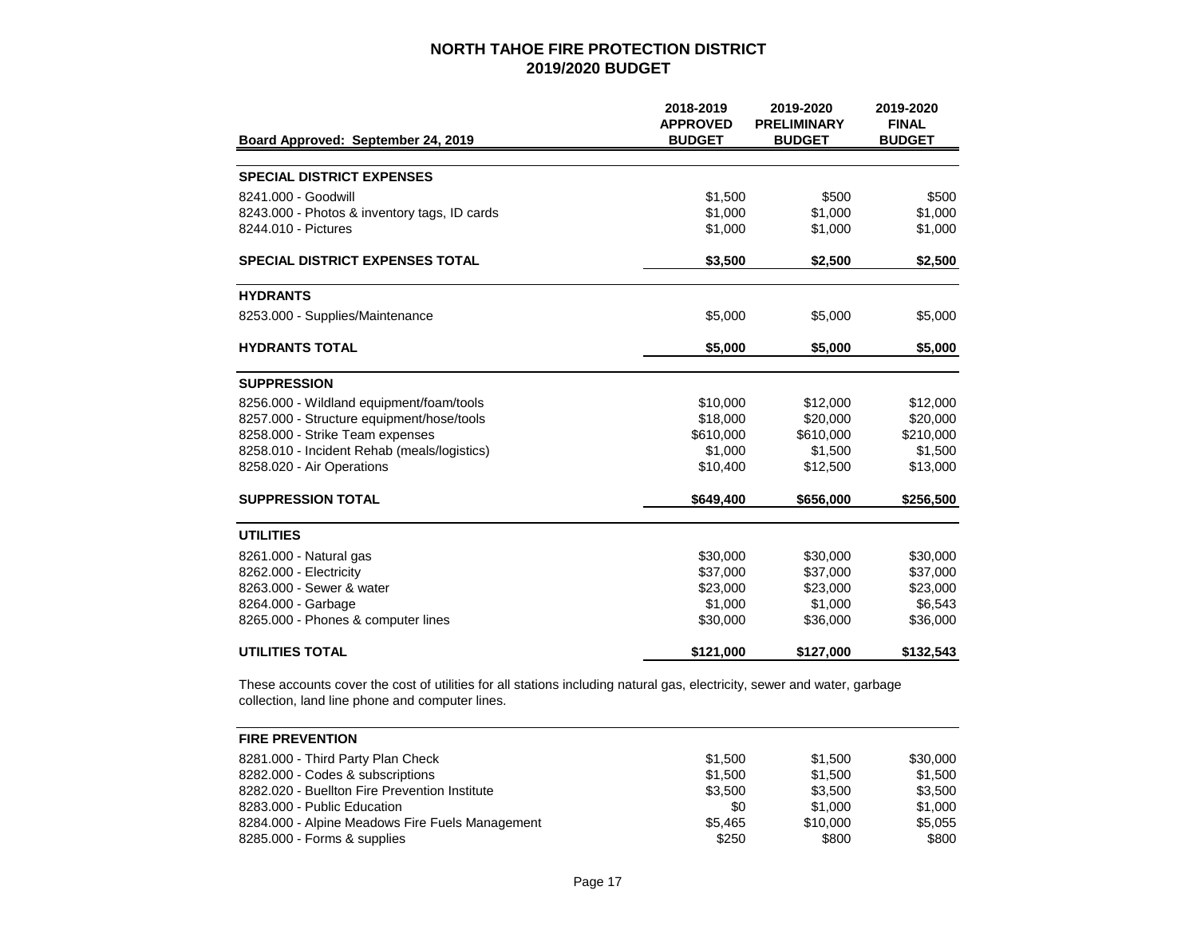| Board Approved: September 24, 2019           | 2018-2019<br><b>APPROVED</b><br><b>BUDGET</b> | 2019-2020<br><b>PRELIMINARY</b><br><b>BUDGET</b> | 2019-2020<br><b>FINAL</b><br><b>BUDGET</b> |
|----------------------------------------------|-----------------------------------------------|--------------------------------------------------|--------------------------------------------|
|                                              |                                               |                                                  |                                            |
| <b>SPECIAL DISTRICT EXPENSES</b>             |                                               |                                                  |                                            |
| 8241.000 - Goodwill                          | \$1,500                                       | \$500                                            | \$500                                      |
| 8243.000 - Photos & inventory tags, ID cards | \$1,000                                       | \$1,000                                          | \$1,000                                    |
| 8244.010 - Pictures                          | \$1,000                                       | \$1,000                                          | \$1,000                                    |
| <b>SPECIAL DISTRICT EXPENSES TOTAL</b>       | \$3,500                                       | \$2,500                                          | \$2,500                                    |
| <b>HYDRANTS</b>                              |                                               |                                                  |                                            |
| 8253.000 - Supplies/Maintenance              | \$5,000                                       | \$5,000                                          | \$5,000                                    |
| <b>HYDRANTS TOTAL</b>                        | \$5,000                                       | \$5,000                                          | \$5,000                                    |
| <b>SUPPRESSION</b>                           |                                               |                                                  |                                            |
| 8256.000 - Wildland equipment/foam/tools     | \$10,000                                      | \$12,000                                         | \$12,000                                   |
| 8257.000 - Structure equipment/hose/tools    | \$18,000                                      | \$20,000                                         | \$20,000                                   |
| 8258.000 - Strike Team expenses              | \$610,000                                     | \$610,000                                        | \$210,000                                  |
| 8258.010 - Incident Rehab (meals/logistics)  | \$1,000                                       | \$1,500                                          | \$1,500                                    |
| 8258.020 - Air Operations                    | \$10,400                                      | \$12,500                                         | \$13,000                                   |
| <b>SUPPRESSION TOTAL</b>                     | \$649,400                                     | \$656,000                                        | \$256,500                                  |
| <b>UTILITIES</b>                             |                                               |                                                  |                                            |
| 8261.000 - Natural gas                       | \$30,000                                      | \$30,000                                         | \$30,000                                   |
| 8262.000 - Electricity                       | \$37,000                                      | \$37,000                                         | \$37,000                                   |
| 8263,000 - Sewer & water                     | \$23,000                                      | \$23,000                                         | \$23,000                                   |
| 8264.000 - Garbage                           | \$1,000                                       | \$1,000                                          | \$6,543                                    |
| 8265.000 - Phones & computer lines           | \$30,000                                      | \$36,000                                         | \$36,000                                   |
| <b>UTILITIES TOTAL</b>                       | \$121,000                                     | \$127,000                                        | \$132,543                                  |

These accounts cover the cost of utilities for all stations including natural gas, electricity, sewer and water, garbage collection, land line phone and computer lines.

| <b>FIRE PREVENTION</b>                          |         |          |          |
|-------------------------------------------------|---------|----------|----------|
| 8281.000 - Third Party Plan Check               | \$1.500 | \$1,500  | \$30,000 |
| 8282.000 - Codes & subscriptions                | \$1.500 | \$1,500  | \$1.500  |
| 8282.020 - Buellton Fire Prevention Institute   | \$3.500 | \$3.500  | \$3.500  |
| 8283,000 - Public Education                     | \$0     | \$1,000  | \$1,000  |
| 8284.000 - Alpine Meadows Fire Fuels Management | \$5.465 | \$10,000 | \$5.055  |
| 8285.000 - Forms & supplies                     | \$250   | \$800    | \$800    |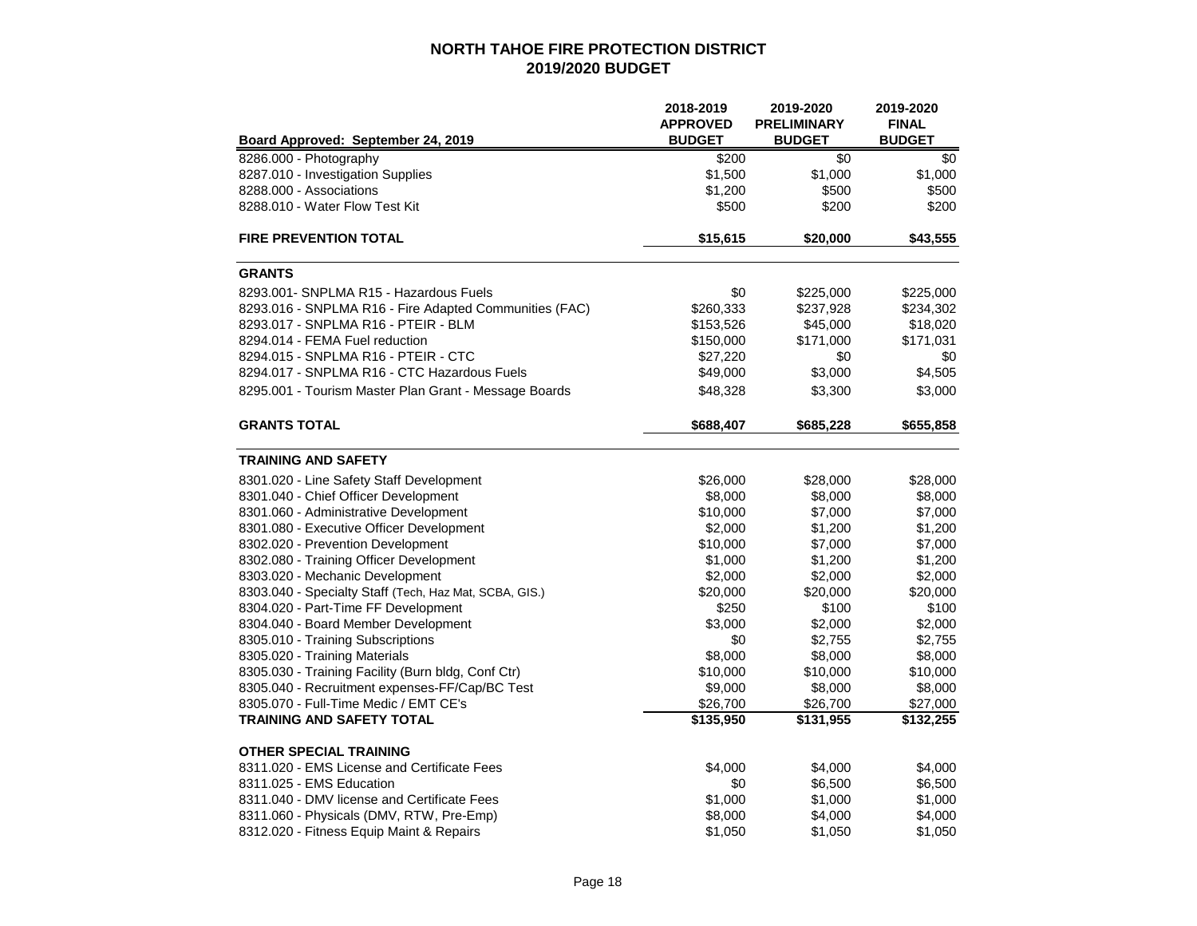|                                                        | 2018-2019       | 2019-2020          | 2019-2020     |
|--------------------------------------------------------|-----------------|--------------------|---------------|
|                                                        | <b>APPROVED</b> | <b>PRELIMINARY</b> | <b>FINAL</b>  |
| Board Approved: September 24, 2019                     | <b>BUDGET</b>   | <b>BUDGET</b>      | <b>BUDGET</b> |
| 8286.000 - Photography                                 | \$200           | \$0                | \$0           |
| 8287.010 - Investigation Supplies                      | \$1,500         | \$1,000            | \$1,000       |
| 8288.000 - Associations                                | \$1,200         | \$500              | \$500         |
| 8288.010 - Water Flow Test Kit                         | \$500           | \$200              | \$200         |
| <b>FIRE PREVENTION TOTAL</b>                           | \$15,615        | \$20,000           | \$43,555      |
| <b>GRANTS</b>                                          |                 |                    |               |
| 8293.001- SNPLMA R15 - Hazardous Fuels                 | \$0             | \$225,000          | \$225,000     |
| 8293.016 - SNPLMA R16 - Fire Adapted Communities (FAC) | \$260,333       | \$237,928          | \$234,302     |
| 8293.017 - SNPLMA R16 - PTEIR - BLM                    | \$153,526       | \$45,000           | \$18,020      |
| 8294.014 - FEMA Fuel reduction                         | \$150,000       | \$171,000          | \$171,031     |
| 8294.015 - SNPLMA R16 - PTEIR - CTC                    | \$27,220        | \$0                | \$0           |
| 8294.017 - SNPLMA R16 - CTC Hazardous Fuels            | \$49,000        | \$3,000            | \$4,505       |
| 8295.001 - Tourism Master Plan Grant - Message Boards  | \$48,328        | \$3,300            | \$3,000       |
| <b>GRANTS TOTAL</b>                                    | \$688,407       | \$685,228          | \$655,858     |
| <b>TRAINING AND SAFETY</b>                             |                 |                    |               |
| 8301.020 - Line Safety Staff Development               | \$26,000        | \$28,000           | \$28,000      |
| 8301.040 - Chief Officer Development                   | \$8,000         | \$8,000            | \$8,000       |
| 8301.060 - Administrative Development                  | \$10,000        | \$7,000            | \$7,000       |
| 8301.080 - Executive Officer Development               | \$2,000         | \$1,200            | \$1,200       |
| 8302.020 - Prevention Development                      | \$10,000        | \$7,000            | \$7,000       |
| 8302.080 - Training Officer Development                | \$1,000         | \$1,200            | \$1,200       |
| 8303.020 - Mechanic Development                        | \$2,000         | \$2,000            | \$2,000       |
| 8303.040 - Specialty Staff (Tech, Haz Mat, SCBA, GIS.) | \$20,000        | \$20,000           | \$20,000      |
| 8304.020 - Part-Time FF Development                    | \$250           | \$100              | \$100         |
| 8304.040 - Board Member Development                    | \$3,000         | \$2,000            | \$2,000       |
| 8305.010 - Training Subscriptions                      | \$0             | \$2,755            | \$2,755       |
| 8305.020 - Training Materials                          | \$8,000         | \$8,000            | \$8,000       |
| 8305.030 - Training Facility (Burn bldg, Conf Ctr)     | \$10,000        | \$10,000           | \$10,000      |
| 8305.040 - Recruitment expenses-FF/Cap/BC Test         | \$9,000         | \$8,000            | \$8,000       |
| 8305.070 - Full-Time Medic / EMT CE's                  | \$26,700        | \$26,700           | \$27,000      |
| <b>TRAINING AND SAFETY TOTAL</b>                       | \$135,950       | \$131,955          | \$132,255     |
| <b>OTHER SPECIAL TRAINING</b>                          |                 |                    |               |
| 8311.020 - EMS License and Certificate Fees            | \$4,000         | \$4,000            | \$4,000       |
| 8311.025 - EMS Education                               | \$0             | \$6,500            | \$6,500       |
| 8311.040 - DMV license and Certificate Fees            | \$1,000         | \$1,000            | \$1,000       |
| 8311.060 - Physicals (DMV, RTW, Pre-Emp)               | \$8,000         | \$4,000            | \$4,000       |
| 8312.020 - Fitness Equip Maint & Repairs               | \$1,050         | \$1,050            | \$1,050       |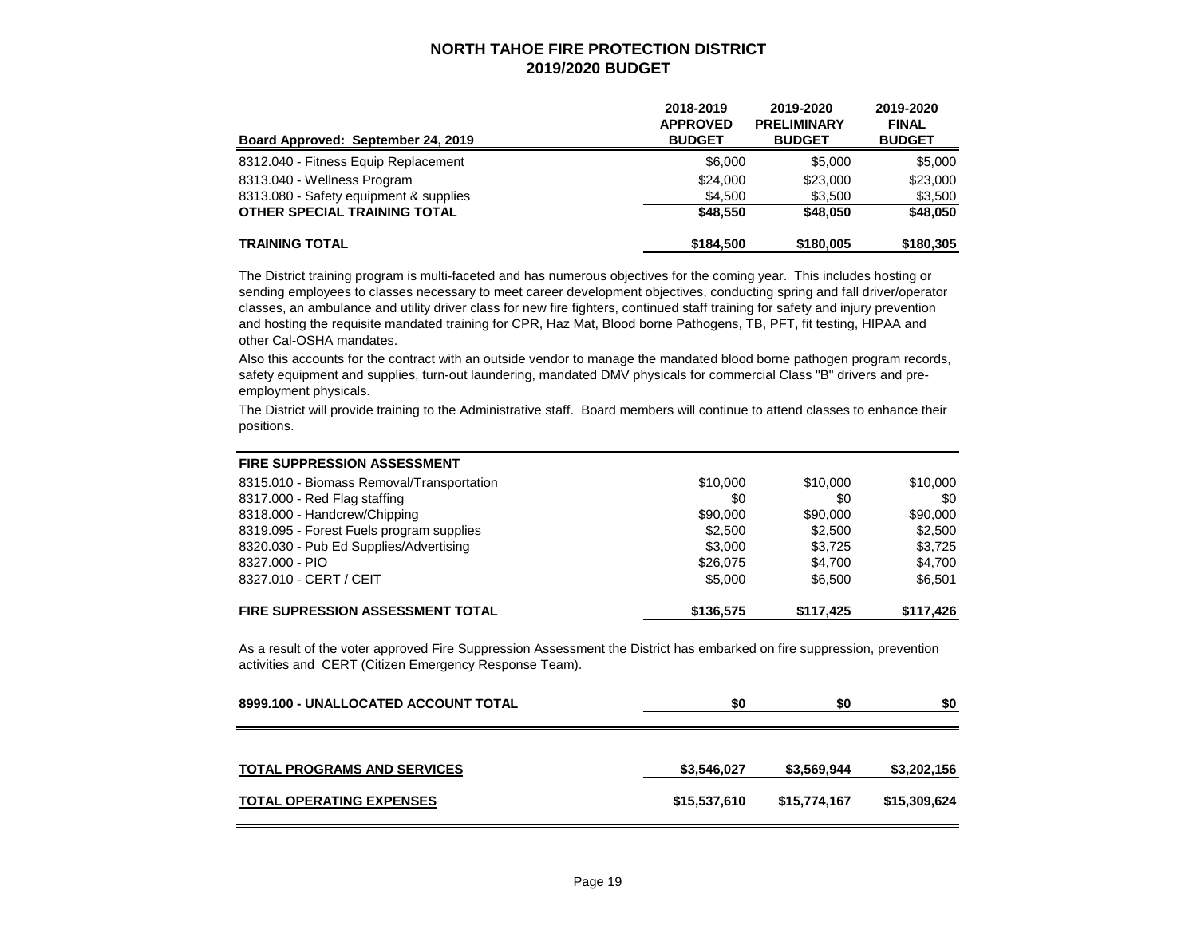| Board Approved: September 24, 2019     | 2018-2019<br><b>APPROVED</b><br><b>BUDGET</b> | 2019-2020<br><b>PRELIMINARY</b><br><b>BUDGET</b> | 2019-2020<br><b>FINAL</b><br><b>BUDGET</b> |
|----------------------------------------|-----------------------------------------------|--------------------------------------------------|--------------------------------------------|
| 8312.040 - Fitness Equip Replacement   | \$6,000                                       | \$5,000                                          | \$5,000                                    |
| 8313.040 - Wellness Program            | \$24,000                                      | \$23,000                                         | \$23,000                                   |
| 8313.080 - Safety equipment & supplies | \$4.500                                       | \$3.500                                          | \$3,500                                    |
| <b>OTHER SPECIAL TRAINING TOTAL</b>    | \$48,550                                      | \$48,050                                         | \$48.050                                   |
| <b>TRAINING TOTAL</b>                  | \$184,500                                     | \$180,005                                        | \$180,305                                  |

The District training program is multi-faceted and has numerous objectives for the coming year. This includes hosting or sending employees to classes necessary to meet career development objectives, conducting spring and fall driver/operator classes, an ambulance and utility driver class for new fire fighters, continued staff training for safety and injury prevention and hosting the requisite mandated training for CPR, Haz Mat, Blood borne Pathogens, TB, PFT, fit testing, HIPAA and other Cal-OSHA mandates.

Also this accounts for the contract with an outside vendor to manage the mandated blood borne pathogen program records, safety equipment and supplies, turn-out laundering, mandated DMV physicals for commercial Class "B" drivers and preemployment physicals.

The District will provide training to the Administrative staff. Board members will continue to attend classes to enhance their positions.

| <b>FIRE SUPPRESSION ASSESSMENT</b>        |           |           |           |
|-------------------------------------------|-----------|-----------|-----------|
| 8315.010 - Biomass Removal/Transportation | \$10,000  | \$10,000  | \$10,000  |
| 8317.000 - Red Flag staffing              | \$0       | \$0       | \$0       |
| 8318.000 - Handcrew/Chipping              | \$90,000  | \$90,000  | \$90,000  |
| 8319.095 - Forest Fuels program supplies  | \$2,500   | \$2,500   | \$2,500   |
| 8320.030 - Pub Ed Supplies/Advertising    | \$3,000   | \$3.725   | \$3,725   |
| 8327,000 - PIO                            | \$26,075  | \$4.700   | \$4.700   |
| 8327.010 - CERT / CEIT                    | \$5,000   | \$6.500   | \$6.501   |
| <b>FIRE SUPRESSION ASSESSMENT TOTAL</b>   | \$136,575 | \$117,425 | \$117,426 |

As a result of the voter approved Fire Suppression Assessment the District has embarked on fire suppression, prevention activities and CERT (Citizen Emergency Response Team).

| 8999.100 - UNALLOCATED ACCOUNT TOTAL | \$0          | \$0          | \$0          |
|--------------------------------------|--------------|--------------|--------------|
| <b>TOTAL PROGRAMS AND SERVICES</b>   | \$3,546,027  | \$3,569,944  | \$3,202,156  |
| <b>TOTAL OPERATING EXPENSES</b>      | \$15,537,610 | \$15,774,167 | \$15,309,624 |